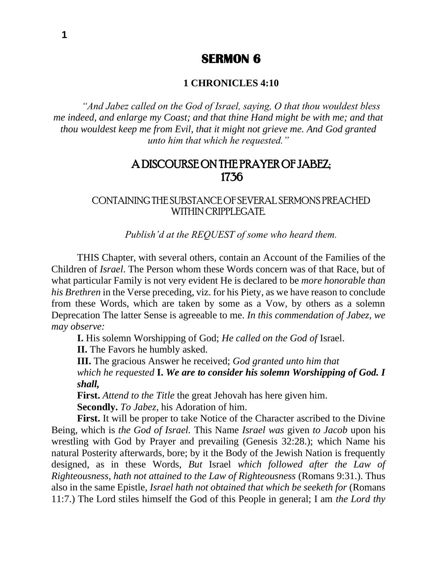# **SERMON 6**

### **1 CHRONICLES 4:10**

*"And Jabez called on the God of Israel, saying, O that thou wouldest bless me indeed, and enlarge my Coast; and that thine Hand might be with me; and that thou wouldest keep me from Evil, that it might not grieve me. And God granted unto him that which he requested."*

## A DISCOURSE ON THE PRAYER OF JABEZ; 1736

### CONTAINING THE SUBSTANCE OF SEVERAL SERMONS PREACHED WITHIN CRIPPLEGATE.

*Publish'd at the REQUEST of some who heard them.*

THIS Chapter, with several others, contain an Account of the Families of the Children of *Israel*. The Person whom these Words concern was of that Race, but of what particular Family is not very evident He is declared to be *more honorable than his Brethren* in the Verse preceding, viz. for his Piety, as we have reason to conclude from these Words, which are taken by some as a Vow, by others as a solemn Deprecation The latter Sense is agreeable to me. *In this commendation of Jabez, we may observe:*

**I.** His solemn Worshipping of God; *He called on the God of* Israel.

**II.** The Favors he humbly asked.

**III.** The gracious Answer he received; *God granted unto him that which he requested* **I.** *We are to consider his solemn Worshipping of God. I shall,* 

**First.** *Attend to the Title* the great Jehovah has here given him. **Secondly.** *To Jabez*, his Adoration of him.

**First.** It will be proper to take Notice of the Character ascribed to the Divine Being, which is *the God of Israel.* This Name *Israel was* given *to Jacob* upon his wrestling with God by Prayer and prevailing (Genesis 32:28.); which Name his natural Posterity afterwards, bore; by it the Body of the Jewish Nation is frequently designed, as in these Words, *But* Israel *which followed after the Law of Righteousness*, *hath not attained to the Law of Righteousness* (Romans 9:31.). Thus also in the same Epistle, *Israel hath not obtained that which be seeketh for* (Romans 11:7.) The Lord stiles himself the God of this People in general; I am *the Lord thy*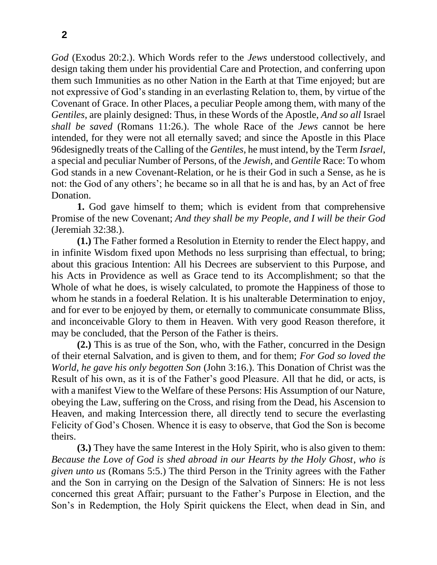*God* (Exodus 20:2.). Which Words refer to the *Jews* understood collectively, and design taking them under his providential Care and Protection, and conferring upon them such Immunities as no other Nation in the Earth at that Time enjoyed; but are not expressive of God's standing in an everlasting Relation to, them, by virtue of the Covenant of Grace. In other Places, a peculiar People among them, with many of the *Gentiles*, are plainly designed: Thus, in these Words of the Apostle, *And so all* Israel *shall be saved* (Romans 11:26.). The whole Race of the *Jews* cannot be here intended, for they were not all eternally saved; and since the Apostle in this Place 96designedly treats of the Calling of the *Gentiles*, he must intend, by the Term *Israel*, a special and peculiar Number of Persons, of the *Jewish*, and *Gentile* Race: To whom God stands in a new Covenant-Relation, or he is their God in such a Sense, as he is not: the God of any others'; he became so in all that he is and has, by an Act of free Donation.

**1.** God gave himself to them; which is evident from that comprehensive Promise of the new Covenant; *And they shall be my People*, *and I will be their God* (Jeremiah 32:38.).

**(1.)** The Father formed a Resolution in Eternity to render the Elect happy, and in infinite Wisdom fixed upon Methods no less surprising than effectual, to bring; about this gracious Intention: All his Decrees are subservient to this Purpose, and his Acts in Providence as well as Grace tend to its Accomplishment; so that the Whole of what he does, is wisely calculated, to promote the Happiness of those to whom he stands in a foederal Relation. It is his unalterable Determination to enjoy, and for ever to be enjoyed by them, or eternally to communicate consummate Bliss, and inconceivable Glory to them in Heaven. With very good Reason therefore, it may be concluded, that the Person of the Father is theirs.

**(2.)** This is as true of the Son, who, with the Father, concurred in the Design of their eternal Salvation, and is given to them, and for them; *For God so loved the World*, *he gave his only begotten Son* (John 3:16.). This Donation of Christ was the Result of his own, as it is of the Father's good Pleasure. All that he did, or acts, is with a manifest View to the Welfare of these Persons: His Assumption of our Nature, obeying the Law, suffering on the Cross, and rising from the Dead, his Ascension to Heaven, and making Intercession there, all directly tend to secure the everlasting Felicity of God's Chosen. Whence it is easy to observe, that God the Son is become theirs.

**(3.)** They have the same Interest in the Holy Spirit, who is also given to them: *Because the Love of God is shed abroad in our Hearts by the Holy Ghost*, *who is given unto us* (Romans 5:5.) The third Person in the Trinity agrees with the Father and the Son in carrying on the Design of the Salvation of Sinners: He is not less concerned this great Affair; pursuant to the Father's Purpose in Election, and the Son's in Redemption, the Holy Spirit quickens the Elect, when dead in Sin, and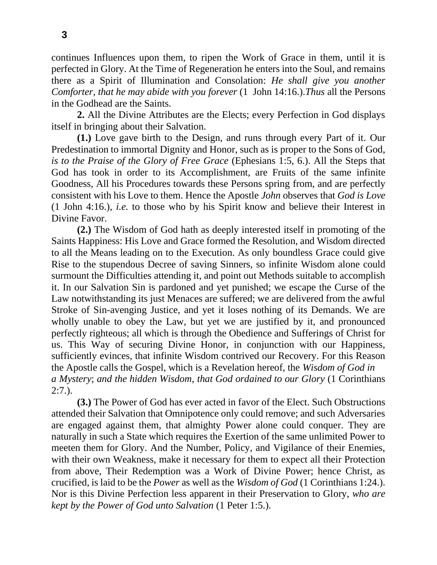continues Influences upon them, to ripen the Work of Grace in them, until it is perfected in Glory. At the Time of Regeneration he enters into the Soul, and remains there as a Spirit of Illumination and Consolation: *He shall give you another Comforter*, *that he may abide with you forever* (1 John 14:16.).*Thus* all the Persons in the Godhead are the Saints.

**2.** All the Divine Attributes are the Elects; every Perfection in God displays itself in bringing about their Salvation.

**(1.)** Love gave birth to the Design, and runs through every Part of it. Our Predestination to immortal Dignity and Honor, such as is proper to the Sons of God, *is to the Praise of the Glory of Free Grace* (Ephesians 1:5, 6.). All the Steps that God has took in order to its Accomplishment, are Fruits of the same infinite Goodness, All his Procedures towards these Persons spring from, and are perfectly consistent with his Love to them. Hence the Apostle *John* observes that *God is Love*  (1 John 4:16.), *i.e.* to those who by his Spirit know and believe their Interest in Divine Favor.

**(2.)** The Wisdom of God hath as deeply interested itself in promoting of the Saints Happiness: His Love and Grace formed the Resolution, and Wisdom directed to all the Means leading on to the Execution. As only boundless Grace could give Rise to the stupendous Decree of saving Sinners, so infinite Wisdom alone could surmount the Difficulties attending it, and point out Methods suitable to accomplish it. In our Salvation Sin is pardoned and yet punished; we escape the Curse of the Law notwithstanding its just Menaces are suffered; we are delivered from the awful Stroke of Sin-avenging Justice, and yet it loses nothing of its Demands. We are wholly unable to obey the Law, but yet we are justified by it, and pronounced perfectly righteous; all which is through the Obedience and Sufferings of Christ for us. This Way of securing Divine Honor, in conjunction with our Happiness, sufficiently evinces, that infinite Wisdom contrived our Recovery. For this Reason the Apostle calls the Gospel, which is a Revelation hereof, the *Wisdom of God in a Mystery*; *and the hidden Wisdom*, *that God ordained to our Glory* (1 Corinthians  $2:7.$ ).

**(3.)** The Power of God has ever acted in favor of the Elect. Such Obstructions attended their Salvation that Omnipotence only could remove; and such Adversaries are engaged against them, that almighty Power alone could conquer. They are naturally in such a State which requires the Exertion of the same unlimited Power to meeten them for Glory. And the Number, Policy, and Vigilance of their Enemies, with their own Weakness, make it necessary for them to expect all their Protection from above, Their Redemption was a Work of Divine Power; hence Christ, as crucified, is laid to be the *Power* as well as the *Wisdom of God* (1 Corinthians 1:24.). Nor is this Divine Perfection less apparent in their Preservation to Glory, *who are kept by the Power of God unto Salvation* (1 Peter 1:5.).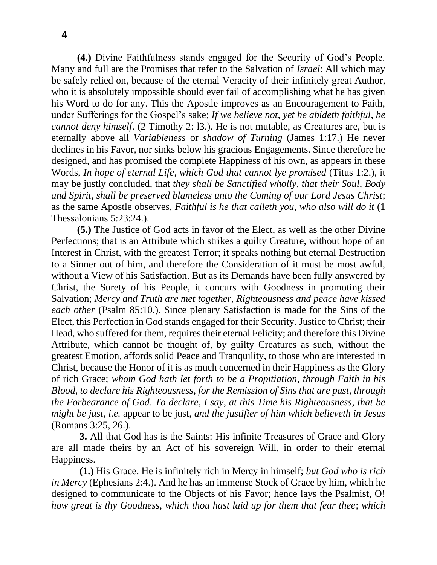**(4.)** Divine Faithfulness stands engaged for the Security of God's People. Many and full are the Promises that refer to the Salvation of *Israel*: All which may be safely relied on, because of the eternal Veracity of their infinitely great Author, who it is absolutely impossible should ever fail of accomplishing what he has given his Word to do for any. This the Apostle improves as an Encouragement to Faith, under Sufferings for the Gospel's sake; *If we believe not*, *yet he abideth faithful*, *be cannot deny himself*. (2 Timothy 2: l3.). He is not mutable, as Creatures are, but is eternally above all *Variableness* or *shadow of Turning* (James 1:17.) He never declines in his Favor, nor sinks below his gracious Engagements. Since therefore he designed, and has promised the complete Happiness of his own, as appears in these Words, *In hope of eternal Life*, *which God that cannot lye promised* (Titus 1:2.), it may be justly concluded, that *they shall be Sanctified wholly*, *that their Soul*, *Body and Spirit*, *shall be preserved blameless unto the Coming of our Lord Jesus Christ*; as the same Apostle observes, *Faithful is he that calleth you*, *who also will do it* (1 Thessalonians 5:23:24.).

**(5.)** The Justice of God acts in favor of the Elect, as well as the other Divine Perfections; that is an Attribute which strikes a guilty Creature, without hope of an Interest in Christ, with the greatest Terror; it speaks nothing but eternal Destruction to a Sinner out of him, and therefore the Consideration of it must be most awful, without a View of his Satisfaction. But as its Demands have been fully answered by Christ, the Surety of his People, it concurs with Goodness in promoting their Salvation; *Mercy and Truth are met together*, *Righteousness and peace have kissed each other* (Psalm 85:10.). Since plenary Satisfaction is made for the Sins of the Elect, this Perfection in God stands engaged for their Security. Justice to Christ; their Head, who suffered for them, requires their eternal Felicity; and therefore this Divine Attribute, which cannot be thought of, by guilty Creatures as such, without the greatest Emotion, affords solid Peace and Tranquility, to those who are interested in Christ, because the Honor of it is as much concerned in their Happiness as the Glory of rich Grace; *whom God hath let forth to be a Propitiation*, *through Faith in his Blood*, *to declare his Righteousness*, *for the Remission of Sins that are past*, *through the Forbearance of God*. *To declare*, *I say*, *at this Time his Righteousness*, *that be might be just*, *i.e.* appear to be just, *and the justifier of him which believeth in Jesus* (Romans 3:25, 26.).

**3.** All that God has is the Saints: His infinite Treasures of Grace and Glory are all made theirs by an Act of his sovereign Will, in order to their eternal Happiness.

**(1.)** His Grace. He is infinitely rich in Mercy in himself; *but God who is rich in Mercy* (Ephesians 2:4.). And he has an immense Stock of Grace by him, which he designed to communicate to the Objects of his Favor; hence lays the Psalmist, O! *how great is thy Goodness*, *which thou hast laid up for them that fear thee*; *which*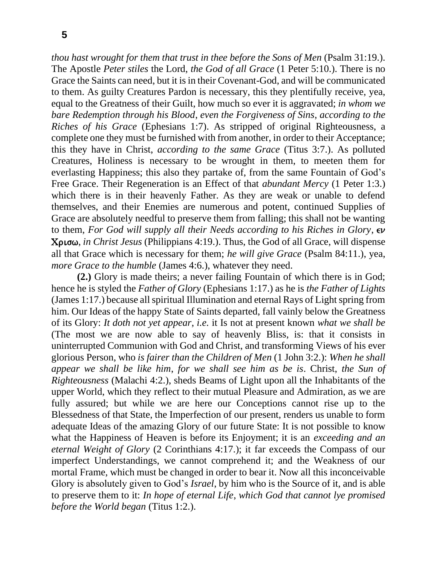*thou hast wrought for them that trust in thee before the Sons of Men* (Psalm 31:19.). The Apostle *Peter stiles* the Lord, *the God of all Grace* (1 Peter 5:10.). There is no Grace the Saints can need, but it is in their Covenant-God, and will be communicated to them. As guilty Creatures Pardon is necessary, this they plentifully receive, yea, equal to the Greatness of their Guilt, how much so ever it is aggravated; *in whom we bare Redemption through his Blood*, *even the Forgiveness of Sins*, *according to the Riches of his Grace* (Ephesians 1:7). As stripped of original Righteousness, a complete one they must be furnished with from another, in order to their Acceptance; this they have in Christ, *according to the same Grace* (Titus 3:7.). As polluted Creatures, Holiness is necessary to be wrought in them, to meeten them for everlasting Happiness; this also they partake of, from the same Fountain of God's Free Grace. Their Regeneration is an Effect of that *abundant Mercy* (1 Peter 1:3.) which there is in their heavenly Father. As they are weak or unable to defend themselves, and their Enemies are numerous and potent, continued Supplies of Grace are absolutely needful to preserve them from falling; this shall not be wanting to them, *For God will supply all their Needs according to his Riches in Glory*,  $\epsilon \nu$ Crisw, *in Christ Jesus* (Philippians 4:19.). Thus, the God of all Grace, will dispense all that Grace which is necessary for them; *he will give Grace* (Psalm 84:11.), yea, *more Grace to the humble* (James 4:6.), whatever they need.

**(2.)** Glory is made theirs; a never failing Fountain of which there is in God; hence he is styled the *Father of Glory* (Ephesians 1:17.) as he is *the Father of Lights* (James 1:17.) because all spiritual Illumination and eternal Rays of Light spring from him. Our Ideas of the happy State of Saints departed, fall vainly below the Greatness of its Glory: *It doth not yet appear*, *i.e.* it Is not at present known *what we shall be* (The most we are now able to say of heavenly Bliss, is: that it consists in uninterrupted Communion with God and Christ, and transforming Views of his ever glorious Person, who *is fairer than the Children of Men* (1 John 3:2.): *When he shall appear we shall be like him*, *for we shall see him as be is*. Christ, *the Sun of Righteousness* (Malachi 4:2.), sheds Beams of Light upon all the Inhabitants of the upper World, which they reflect to their mutual Pleasure and Admiration, as we are fully assured; but while we are here our Conceptions cannot rise up to the Blessedness of that State, the Imperfection of our present, renders us unable to form adequate Ideas of the amazing Glory of our future State: It is not possible to know what the Happiness of Heaven is before its Enjoyment; it is an *exceeding and an eternal Weight of Glory* (2 Corinthians 4:17.); it far exceeds the Compass of our imperfect Understandings, we cannot comprehend it; and the Weakness of our mortal Frame, which must be changed in order to bear it. Now all this inconceivable Glory is absolutely given to God's *Israel*, by him who is the Source of it, and is able to preserve them to it: *In hope of eternal Life*, *which God that cannot lye promised before the World began* (Titus 1:2.).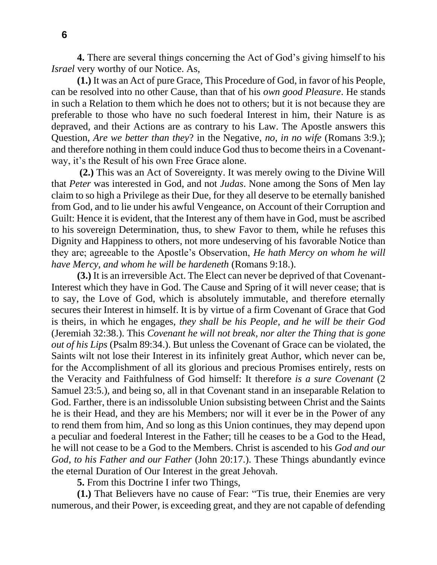**4.** There are several things concerning the Act of God's giving himself to his *Israel* very worthy of our Notice. As,

**(1.)** It was an Act of pure Grace, This Procedure of God, in favor of his People, can be resolved into no other Cause, than that of his *own good Pleasure*. He stands in such a Relation to them which he does not to others; but it is not because they are preferable to those who have no such foederal Interest in him, their Nature is as depraved, and their Actions are as contrary to his Law. The Apostle answers this Question, *Are we better than they*? in the Negative, *no*, *in no wife* (Romans 3:9.); and therefore nothing in them could induce God thus to become theirs in a Covenantway, it's the Result of his own Free Grace alone.

**(2.)** This was an Act of Sovereignty. It was merely owing to the Divine Will that *Peter* was interested in God, and not *Judas*. None among the Sons of Men lay claim to so high a Privilege as their Due, for they all deserve to be eternally banished from God, and to lie under his awful Vengeance, on Account of their Corruption and Guilt: Hence it is evident, that the Interest any of them have in God, must be ascribed to his sovereign Determination, thus, to shew Favor to them, while he refuses this Dignity and Happiness to others, not more undeserving of his favorable Notice than they are; agreeable to the Apostle's Observation, *He hath Mercy on whom he will have Mercy*, *and whom he will be hardeneth* (Romans 9:18.).

**(3.)** It is an irreversible Act. The Elect can never be deprived of that Covenant-Interest which they have in God. The Cause and Spring of it will never cease; that is to say, the Love of God, which is absolutely immutable, and therefore eternally secures their Interest in himself. It is by virtue of a firm Covenant of Grace that God is theirs, in which he engages, *they shall be his People*, *and he will be their God* (Jeremiah 32:38.). This *Covenant he will not break*, *nor alter the Thing that is gone out of his Lips* (Psalm 89:34.). But unless the Covenant of Grace can be violated, the Saints wilt not lose their Interest in its infinitely great Author, which never can be, for the Accomplishment of all its glorious and precious Promises entirely, rests on the Veracity and Faithfulness of God himself: It therefore *is a sure Covenant* (2 Samuel 23:5.), and being so, all in that Covenant stand in an inseparable Relation to God. Farther, there is an indissoluble Union subsisting between Christ and the Saints he is their Head, and they are his Members; nor will it ever be in the Power of any to rend them from him, And so long as this Union continues, they may depend upon a peculiar and foederal Interest in the Father; till he ceases to be a God to the Head, he will not cease to be a God to the Members. Christ is ascended to his *God and our God*, *to his Father and our Father* (John 20:17.). These Things abundantly evince the eternal Duration of Our Interest in the great Jehovah.

**5.** From this Doctrine I infer two Things,

**(1.)** That Believers have no cause of Fear: "Tis true, their Enemies are very numerous, and their Power, is exceeding great, and they are not capable of defending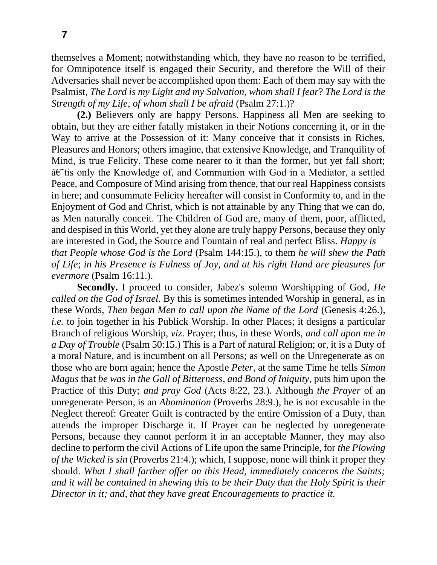themselves a Moment; notwithstanding which, they have no reason to be terrified, for Omnipotence itself is engaged their Security, and therefore the Will of their Adversaries shall never be accomplished upon them: Each of them may say with the Psalmist, *The Lord is my Light and my Salvation*, *whom shall I fear*? *The Lord is the Strength of my Life*, *of whom shall I be afraid* (Psalm 27:1.)?

**(2.)** Believers only are happy Persons. Happiness all Men are seeking to obtain, but they are either fatally mistaken in their Notions concerning it, or in the Way to arrive at the Possession of it: Many conceive that it consists in Riches, Pleasures and Honors; others imagine, that extensive Knowledge, and Tranquility of Mind, is true Felicity. These come nearer to it than the former, but yet fall short;  $\hat{a} \in \hat{a}$  is only the Knowledge of, and Communion with God in a Mediator, a settled Peace, and Composure of Mind arising from thence, that our real Happiness consists in here; and consummate Felicity hereafter will consist in Conformity to, and in the Enjoyment of God and Christ, which is not attainable by any Thing that we can do, as Men naturally conceit. The Children of God are, many of them, poor, afflicted, and despised in this World, yet they alone are truly happy Persons, because they only are interested in God, the Source and Fountain of real and perfect Bliss. *Happy is that People whose God is the Lord* (Psalm 144:15.), to them *he will shew the Path of Life*; *in his Presence is Fulness of Joy*, *and at his right Hand are pleasures for evermore* (Psalm 16:11.).

**Secondly.** I proceed to consider, Jabez's solemn Worshipping of God, *He called on the God of Israel.* By this is sometimes intended Worship in general, as in these Words, *Then began Men to call upon the Name of the Lord* (Genesis 4:26.), *i.e.* to join together in his Publick Worship. In other Places; it designs a particular Branch of religious Worship, *viz*. Prayer; thus, in these Words, *and call upon me in a Day of Trouble* (Psalm 50:15.) This is a Part of natural Religion; or, it is a Duty of a moral Nature, and is incumbent on all Persons; as well on the Unregenerate as on those who are born again; hence the Apostle *Peter*, at the same Time he tells *Simon Magus* that *be was in the Gall of Bitterness*, *and Bond of Iniquity*, puts him upon the Practice of this Duty; *and pray God* (Acts 8:22, 23.). Although *the Prayer* of an unregenerate Person, is an *Abomination* (Proverbs 28:9.), he is not excusable in the Neglect thereof: Greater Guilt is contracted by the entire Omission of a Duty, than attends the improper Discharge it. If Prayer can be neglected by unregenerate Persons, because they cannot perform it in an acceptable Manner, they may also decline to perform the civil Actions of Life upon the same Principle, for *the Plowing of the Wicked is sin (Proverbs 21:4.); which, I suppose, none will think it proper they* should. *What I shall farther offer on this Head, immediately concerns the Saints; and it will be contained in shewing this to be their Duty that the Holy Spirit is their Director in it; and, that they have great Encouragements to practice it.*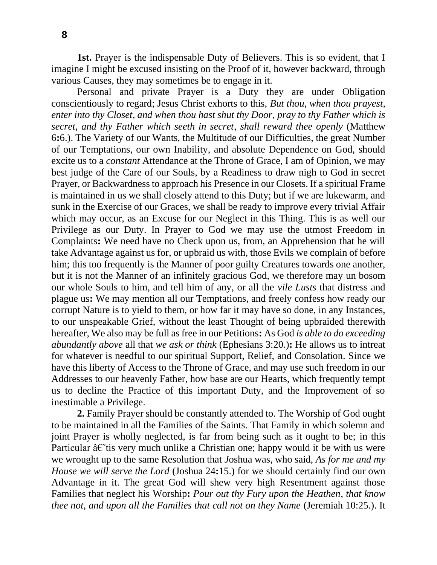**1st.** Prayer is the indispensable Duty of Believers. This is so evident, that I imagine I might be excused insisting on the Proof of it, however backward, through various Causes, they may sometimes be to engage in it.

Personal and private Prayer is a Duty they are under Obligation conscientiously to regard; Jesus Christ exhorts to this, *But thou*, *when thou prayest*, *enter into thy Closet*, *and when thou hast shut thy Door*, *pray to thy Father which is secret*, *and thy Father which seeth in secret*, *shall reward thee openly* (Matthew 6**:**6.). The Variety of our Wants, the Multitude of our Difficulties, the great Number of our Temptations, our own Inability, and absolute Dependence on God, should excite us to a *constant* Attendance at the Throne of Grace, I am of Opinion, we may best judge of the Care of our Souls, by a Readiness to draw nigh to God in secret Prayer, or Backwardness to approach his Presence in our Closets. If a spiritual Frame is maintained in us we shall closely attend to this Duty; but if we are lukewarm, and sunk in the Exercise of our Graces, we shall be ready to improve every trivial Affair which may occur, as an Excuse for our Neglect in this Thing. This is as well our Privilege as our Duty. In Prayer to God we may use the utmost Freedom in Complaints**:** We need have no Check upon us, from, an Apprehension that he will take Advantage against us for, or upbraid us with, those Evils we complain of before him; this too frequently is the Manner of poor guilty Creatures towards one another, but it is not the Manner of an infinitely gracious God, we therefore may un bosom our whole Souls to him, and tell him of any, or all the *vile Lusts* that distress and plague us**:** We may mention all our Temptations, and freely confess how ready our corrupt Nature is to yield to them, or how far it may have so done, in any Instances, to our unspeakable Grief, without the least Thought of being upbraided therewith hereafter, We also may be full as free in our Petitions**:** As God *is able to do exceeding abundantly above* all that *we ask or think* (Ephesians 3:20.)**:** He allows us to intreat for whatever is needful to our spiritual Support, Relief, and Consolation. Since we have this liberty of Access to the Throne of Grace, and may use such freedom in our Addresses to our heavenly Father, how base are our Hearts, which frequently tempt us to decline the Practice of this important Duty, and the Improvement of so inestimable a Privilege.

**2.** Family Prayer should be constantly attended to. The Worship of God ought to be maintained in all the Families of the Saints. That Family in which solemn and joint Prayer is wholly neglected, is far from being such as it ought to be; in this Particular  $\hat{a} \in \hat{a}$  very much unlike a Christian one; happy would it be with us were we wrought up to the same Resolution that *J*oshua was, who said, *As for me and my House we will serve the Lord* (Joshua 24**:**15.) for we should certainly find our own Advantage in it. The great God will shew very high Resentment against those Families that neglect his Worship**:** *Pour out thy Fury upon the Heathen*, *that know thee not*, *and upon all the Families that call not on they Name* (Jeremiah 10:25.). It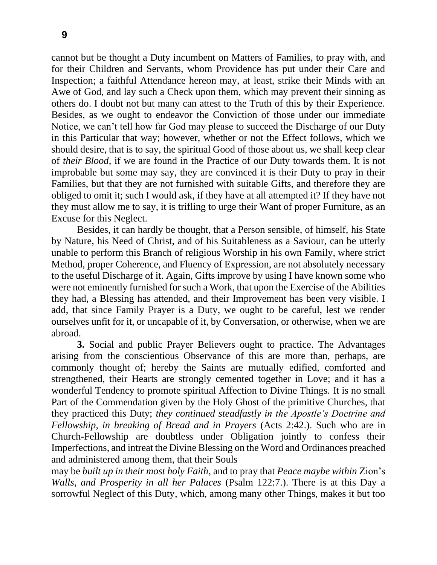cannot but be thought a Duty incumbent on Matters of Families, to pray with, and for their Children and Servants, whom Providence has put under their Care and Inspection; a faithful Attendance hereon may, at least, strike their Minds with an Awe of God, and lay such a Check upon them, which may prevent their sinning as others do. I doubt not but many can attest to the Truth of this by their Experience. Besides, as we ought to endeavor the Conviction of those under our immediate Notice, we can't tell how far God may please to succeed the Discharge of our Duty in this Particular that way; however, whether or not the Effect follows, which we should desire, that is to say, the spiritual Good of those about us, we shall keep clear of *their Blood*, if we are found in the Practice of our Duty towards them. It is not improbable but some may say, they are convinced it is their Duty to pray in their Families, but that they are not furnished with suitable Gifts, and therefore they are obliged to omit it; such I would ask, if they have at all attempted it? If they have not they must allow me to say, it is trifling to urge their Want of proper Furniture, as an Excuse for this Neglect.

Besides, it can hardly be thought, that a Person sensible, of himself, his State by Nature, his Need of Christ, and of his Suitableness as a Saviour, can be utterly unable to perform this Branch of religious Worship in his own Family, where strict Method, proper Coherence, and Fluency of Expression, are not absolutely necessary to the useful Discharge of it. Again, Gifts improve by using I have known some who were not eminently furnished for such a Work, that upon the Exercise of the Abilities they had, a Blessing has attended, and their Improvement has been very visible. I add, that since Family Prayer is a Duty, we ought to be careful, lest we render ourselves unfit for it, or uncapable of it, by Conversation, or otherwise, when we are abroad.

**3.** Social and public Prayer Believers ought to practice. The Advantages arising from the conscientious Observance of this are more than, perhaps, are commonly thought of; hereby the Saints are mutually edified, comforted and strengthened, their Hearts are strongly cemented together in Love; and it has a wonderful Tendency to promote spiritual Affection to Divine Things. It is no small Part of the Commendation given by the Holy Ghost of the primitive Churches, that they practiced this Duty; *they continued steadfastly in the Apostle's Doctrine and Fellowship*, *in breaking of Bread and in Prayers* (Acts 2:42.). Such who are in Church-Fellowship are doubtless under Obligation jointly to confess their Imperfections, and intreat the Divine Blessing on the Word and Ordinances preached and administered among them, that their Souls

may be *built up in their most holy Faith*, and to pray that *Peace maybe within* Zion's *Walls*, *and Prosperity in all her Palaces* (Psalm 122:7.). There is at this Day a sorrowful Neglect of this Duty, which, among many other Things, makes it but too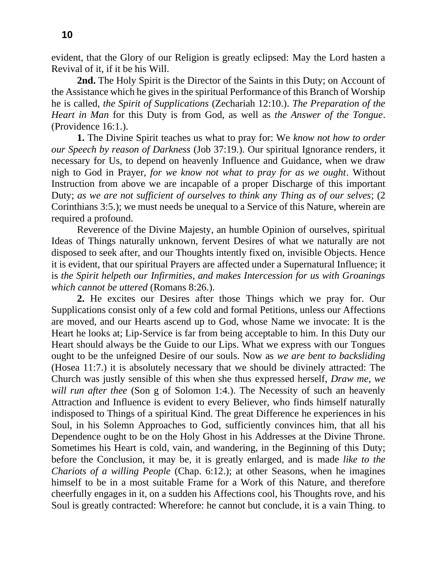evident, that the Glory of our Religion is greatly eclipsed: May the Lord hasten a Revival of it, if it be his Will.

**2nd.** The Holy Spirit is the Director of the Saints in this Duty; on Account of the Assistance which he gives in the spiritual Performance of this Branch of Worship he is called, *the Spirit of Supplications* (Zechariah 12:10.). *The Preparation of the Heart in Man* for this Duty is from God, as well as *the Answer of the Tongue*. (Providence 16:1.).

**1.** The Divine Spirit teaches us what to pray for: We *know not how to order our Speech by reason of Darkness* (Job 37:19.). Our spiritual Ignorance renders, it necessary for Us, to depend on heavenly Influence and Guidance, when we draw nigh to God in Prayer, *for we know not what to pray for as we ought*. Without Instruction from above we are incapable of a proper Discharge of this important Duty; *as we are not sufficient of ourselves to think any Thing as of our selves*; (2 Corinthians 3:5.); we must needs be unequal to a Service of this Nature, wherein are required a profound.

Reverence of the Divine Majesty, an humble Opinion of ourselves, spiritual Ideas of Things naturally unknown, fervent Desires of what we naturally are not disposed to seek after, and our Thoughts intently fixed on, invisible Objects. Hence it is evident, that our spiritual Prayers are affected under a Supernatural Influence; it is *the Spirit helpeth our Infirmities*, *and makes Intercession for us with Groanings which cannot be uttered* (Romans 8:26.).

**2.** He excites our Desires after those Things which we pray for. Our Supplications consist only of a few cold and formal Petitions, unless our Affections are moved, and our Hearts ascend up to God, whose Name we invocate: It is the Heart he looks at; Lip-Service is far from being acceptable to him. In this Duty our Heart should always be the Guide to our Lips. What we express with our Tongues ought to be the unfeigned Desire of our souls. Now as *we are bent to backsliding* (Hosea 11:7.) it is absolutely necessary that we should be divinely attracted: The Church was justly sensible of this when she thus expressed herself, *Draw me*, *we will run after thee* (Son g of Solomon 1:4.). The Necessity of such an heavenly Attraction and Influence is evident to every Believer, who finds himself naturally indisposed to Things of a spiritual Kind. The great Difference he experiences in his Soul, in his Solemn Approaches to God, sufficiently convinces him, that all his Dependence ought to be on the Holy Ghost in his Addresses at the Divine Throne. Sometimes his Heart is cold, vain, and wandering, in the Beginning of this Duty; before the Conclusion, it may be, it is greatly enlarged, and is made *like to the Chariots of a willing People* (Chap. 6:12.); at other Seasons, when he imagines himself to be in a most suitable Frame for a Work of this Nature, and therefore cheerfully engages in it, on a sudden his Affections cool, his Thoughts rove, and his Soul is greatly contracted: Wherefore: he cannot but conclude, it is a vain Thing. to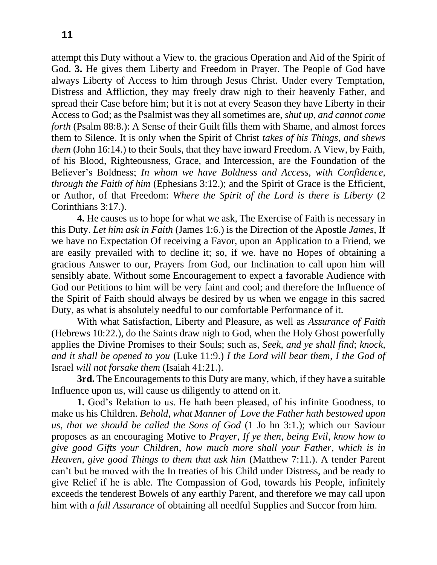attempt this Duty without a View to. the gracious Operation and Aid of the Spirit of God. **3.** He gives them Liberty and Freedom in Prayer. The People of God have always Liberty of Access to him through Jesus Christ. Under every Temptation, Distress and Affliction, they may freely draw nigh to their heavenly Father, and spread their Case before him; but it is not at every Season they have Liberty in their Access to God; as the Psalmist was they all sometimes are, *shut up*, *and cannot come forth* (Psalm 88:8.): A Sense of their Guilt fills them with Shame, and almost forces them to Silence. It is only when the Spirit of Christ *takes of his Things*, *and shews them* (John 16:14.) to their Souls, that they have inward Freedom. A View, by Faith, of his Blood, Righteousness, Grace, and Intercession, are the Foundation of the Believer's Boldness; *In whom we have Boldness and Access*, *with Confidence*, *through the Faith of him* (Ephesians 3:12.); and the Spirit of Grace is the Efficient, or Author, of that Freedom: *Where the Spirit of the Lord is there is Liberty* (2 Corinthians 3:17.).

**4.** He causes us to hope for what we ask, The Exercise of Faith is necessary in this Duty. *Let him ask in Faith* (James 1:6.) is the Direction of the Apostle *James*, If we have no Expectation Of receiving a Favor, upon an Application to a Friend, we are easily prevailed with to decline it; so, if we. have no Hopes of obtaining a gracious Answer to our, Prayers from God, our Inclination to call upon him will sensibly abate. Without some Encouragement to expect a favorable Audience with God our Petitions to him will be very faint and cool; and therefore the Influence of the Spirit of Faith should always be desired by us when we engage in this sacred Duty, as what is absolutely needful to our comfortable Performance of it.

With what Satisfaction, Liberty and Pleasure, as well as *Assurance of Faith* (Hebrews 10:22.), do the Saints draw nigh to God, when the Holy Ghost powerfully applies the Divine Promises to their Souls; such as, *Seek*, *and ye shall find*; *knock*, *and it shall be opened to you* (Luke 11:9.) *I the Lord will bear them*, *I the God of*  Israel *will not forsake them* (Isaiah 41:21.).

**3rd.** The Encouragements to this Duty are many, which, if they have a suitable Influence upon us, will cause us diligently to attend on it.

**1.** God's Relation to us. He hath been pleased, of his infinite Goodness, to make us his Children. *Behold*, *what Manner of Love the Father hath bestowed upon us*, *that we should be called the Sons of God* (1 Jo hn 3:1.); which our Saviour proposes as an encouraging Motive to *Prayer*, *If ye then*, *being Evil*, *know how to give good Gifts your Children*, *how much more shall your Father*, *which is in Heaven*, *give good Things to them that ask him* (Matthew 7:11.). A tender Parent can't but be moved with the In treaties of his Child under Distress, and be ready to give Relief if he is able. The Compassion of God, towards his People, infinitely exceeds the tenderest Bowels of any earthly Parent, and therefore we may call upon him with *a full Assurance* of obtaining all needful Supplies and Succor from him.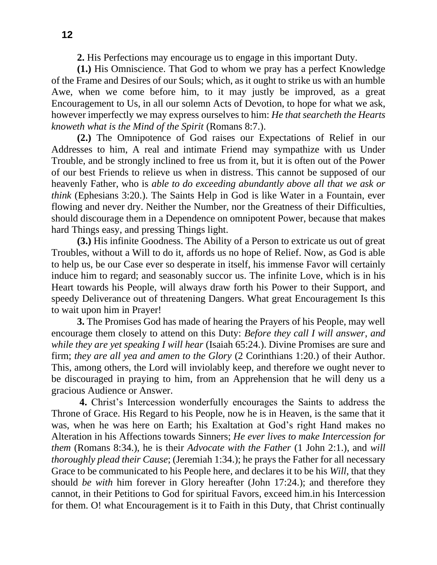**2.** His Perfections may encourage us to engage in this important Duty.

**(1.)** His Omniscience. That God to whom we pray has a perfect Knowledge of the Frame and Desires of our Souls; which, as it ought to strike us with an humble Awe, when we come before him, to it may justly be improved, as a great Encouragement to Us, in all our solemn Acts of Devotion, to hope for what we ask, however imperfectly we may express ourselves to him: *He that searcheth the Hearts knoweth what is the Mind of the Spirit* (Romans 8:7.).

**(2.)** The Omnipotence of God raises our Expectations of Relief in our Addresses to him, A real and intimate Friend may sympathize with us Under Trouble, and be strongly inclined to free us from it, but it is often out of the Power of our best Friends to relieve us when in distress. This cannot be supposed of our heavenly Father, who is *able to do exceeding abundantly above all that we ask or think* (Ephesians 3:20.). The Saints Help in God is like Water in a Fountain, ever flowing and never dry. Neither the Number, nor the Greatness of their Difficulties, should discourage them in a Dependence on omnipotent Power, because that makes hard Things easy, and pressing Things light.

**(3.)** His infinite Goodness. The Ability of a Person to extricate us out of great Troubles, without a Will to do it, affords us no hope of Relief. Now, as God is able to help us, be our Case ever so desperate in itself, his immense Favor will certainly induce him to regard; and seasonably succor us. The infinite Love, which is in his Heart towards his People, will always draw forth his Power to their Support, and speedy Deliverance out of threatening Dangers. What great Encouragement Is this to wait upon him in Prayer!

**3.** The Promises God has made of hearing the Prayers of his People, may well encourage them closely to attend on this Duty: *Before they call I will answer*, *and while they are yet speaking I will hear* (Isaiah 65:24.). Divine Promises are sure and firm; *they are all yea and amen to the Glory* (2 Corinthians 1:20.) of their Author. This, among others, the Lord will inviolably keep, and therefore we ought never to be discouraged in praying to him, from an Apprehension that he will deny us a gracious Audience or Answer.

**4.** Christ's Intercession wonderfully encourages the Saints to address the Throne of Grace. His Regard to his People, now he is in Heaven, is the same that it was, when he was here on Earth; his Exaltation at God's right Hand makes no Alteration in his Affections towards Sinners; *He ever lives to make Intercession for them* (Romans 8:34.), he is their *Advocate with the Father* (1 John 2:1.), and *will thoroughly plead their Cause*; (Jeremiah 1:34.); he prays the Father for all necessary Grace to be communicated to his People here, and declares it to be his *Will*, that they should *be with* him forever in Glory hereafter (John 17:24.); and therefore they cannot, in their Petitions to God for spiritual Favors, exceed him.in his Intercession for them. O! what Encouragement is it to Faith in this Duty, that Christ continually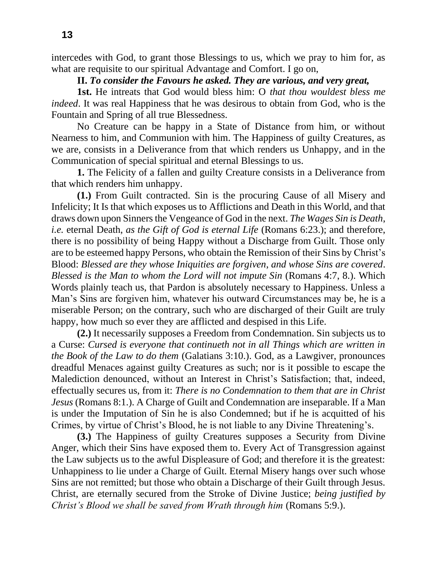intercedes with God, to grant those Blessings to us, which we pray to him for, as what are requisite to our spiritual Advantage and Comfort. I go on,

### **II.** *To consider the Favours he asked. They are various, and very great,*

**1st.** He intreats that God would bless him: O *that thou wouldest bless me indeed*. It was real Happiness that he was desirous to obtain from God, who is the Fountain and Spring of all true Blessedness.

No Creature can be happy in a State of Distance from him, or without Nearness to him, and Communion with him. The Happiness of guilty Creatures, as we are, consists in a Deliverance from that which renders us Unhappy, and in the Communication of special spiritual and eternal Blessings to us.

**1.** The Felicity of a fallen and guilty Creature consists in a Deliverance from that which renders him unhappy.

**(1.)** From Guilt contracted. Sin is the procuring Cause of all Misery and Infelicity; It Is that which exposes us to Afflictions and Death in this World, and that draws down upon Sinners the Vengeance of God in the next. *The Wages Sin is Death*, *i.e.* eternal Death, *as the Gift of God is eternal Life* (Romans 6:23.); and therefore, there is no possibility of being Happy without a Discharge from Guilt. Those only are to be esteemed happy Persons, who obtain the Remission of their Sins by Christ's Blood: *Blessed are they whose Iniquities are forgiven*, *and whose Sins are covered*. *Blessed is the Man to whom the Lord will not impute Sin* (Romans 4:7, 8.). Which Words plainly teach us, that Pardon is absolutely necessary to Happiness. Unless a Man's Sins are forgiven him, whatever his outward Circumstances may be, he is a miserable Person; on the contrary, such who are discharged of their Guilt are truly happy, how much so ever they are afflicted and despised in this Life.

**(2.)** It necessarily supposes a Freedom from Condemnation. Sin subjects us to a Curse: *Cursed is everyone that continueth not in all Things which are written in the Book of the Law to do them* (Galatians 3:10.). God, as a Lawgiver, pronounces dreadful Menaces against guilty Creatures as such; nor is it possible to escape the Malediction denounced, without an Interest in Christ's Satisfaction; that, indeed, effectually secures us, from it: *There is no Condemnation to them that are in Christ Jesus* (Romans 8:1.). A Charge of Guilt and Condemnation are inseparable. If a Man is under the Imputation of Sin he is also Condemned; but if he is acquitted of his Crimes, by virtue of Christ's Blood, he is not liable to any Divine Threatening's.

**(3.)** The Happiness of guilty Creatures supposes a Security from Divine Anger, which their Sins have exposed them to. Every Act of Transgression against the Law subjects us to the awful Displeasure of God; and therefore it is the greatest: Unhappiness to lie under a Charge of Guilt. Eternal Misery hangs over such whose Sins are not remitted; but those who obtain a Discharge of their Guilt through Jesus. Christ, are eternally secured from the Stroke of Divine Justice; *being justified by Christ's Blood we shall be saved from Wrath through him* (Romans 5:9.).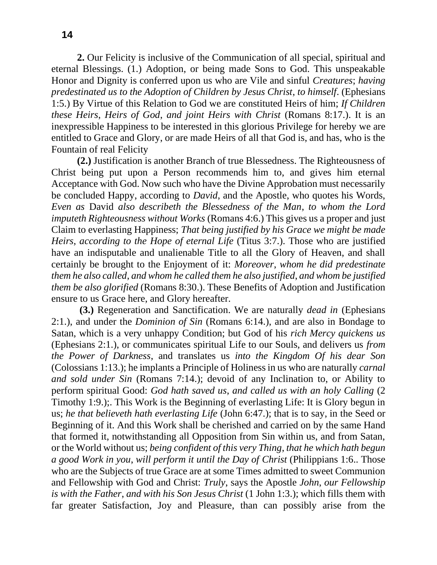**2.** Our Felicity is inclusive of the Communication of all special, spiritual and eternal Blessings. (1.) Adoption, or being made Sons to God. This unspeakable Honor and Dignity is conferred upon us who are Vile and sinful *Creatures*; *having predestinated us to the Adoption of Children by Jesus Christ*, *to himself*. (Ephesians 1:5.) By Virtue of this Relation to God we are constituted Heirs of him; *If Children these Heirs*, *Heirs of God*, *and joint Heirs with Christ* (Romans 8:17.). It is an inexpressible Happiness to be interested in this glorious Privilege for hereby we are entitled to Grace and Glory, or are made Heirs of all that God is, and has, who is the Fountain of real Felicity

**(2.)** Justification is another Branch of true Blessedness. The Righteousness of Christ being put upon a Person recommends him to, and gives him eternal Acceptance with God. Now such who have the Divine Approbation must necessarily be concluded Happy, according to *David*, and the Apostle, who quotes his Words, *Even as* David *also describeth the Blessedness of the Man*, *to whom the Lord imputeth Righteousness without Works* (Romans 4:6.) This gives us a proper and just Claim to everlasting Happiness; *That being justified by his Grace we might be made Heirs*, *according to the Hope of eternal Life* (Titus 3:7.). Those who are justified have an indisputable and unalienable Title to all the Glory of Heaven, and shall certainly be brought to the Enjoyment of it: *Moreover*, *whom he did predestinate them he also called*, *and whom he called them he also justified*, *and whom be justified them be also glorified* (Romans 8:30.). These Benefits of Adoption and Justification ensure to us Grace here, and Glory hereafter.

**(3.)** Regeneration and Sanctification. We are naturally *dead in* (Ephesians 2:1.), and under the *Dominion of Sin* (Romans 6:14.), and are also in Bondage to Satan, which is a very unhappy Condition; but God of his *rich Mercy quickens us* (Ephesians 2:1.), or communicates spiritual Life to our Souls, and delivers us *from the Power of Darkness*, and translates us *into the Kingdom Of his dear Son*  (Colossians 1:13.); he implants a Principle of Holiness in us who are naturally *carnal and sold under Sin* (Romans 7:14.); devoid of any Inclination to, or Ability to perform spiritual Good: *God hath saved us*, *and called us with an holy Calling* (2 Timothy 1:9.);. This Work is the Beginning of everlasting Life: It is Glory begun in us; *he that believeth hath everlasting Life* (John 6:47.); that is to say, in the Seed or Beginning of it. And this Work shall be cherished and carried on by the same Hand that formed it, notwithstanding all Opposition from Sin within us, and from Satan, or the World without us; *being confident of this very Thing*, *that he which hath begun a good Work in you*, *will perform it until the Day of Christ* (Philippians 1:6.. Those who are the Subjects of true Grace are at some Times admitted to sweet Communion and Fellowship with God and Christ: *Truly*, says the Apostle *John*, *our Fellowship is with the Father*, *and with his Son Jesus Christ* (1 John 1:3.); which fills them with far greater Satisfaction, Joy and Pleasure, than can possibly arise from the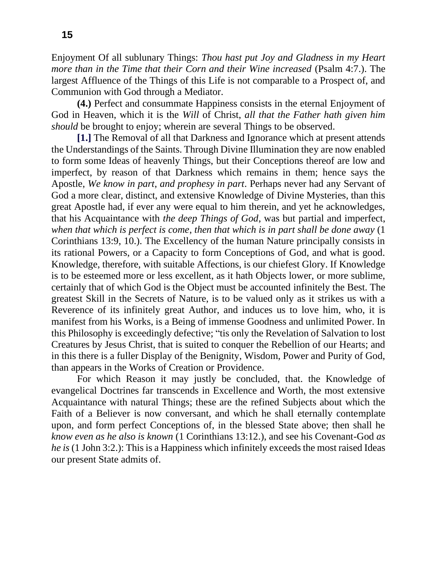Enjoyment Of all sublunary Things: *Thou hast put Joy and Gladness in my Heart more than in the Time that their Corn and their Wine increased* (Psalm 4:7.). The largest Affluence of the Things of this Life is not comparable to a Prospect of, and Communion with God through a Mediator.

**(4.)** Perfect and consummate Happiness consists in the eternal Enjoyment of God in Heaven, which it is the *Will* of Christ, *all that the Father hath given him should* be brought to enjoy; wherein are several Things to be observed.

**[1.]** The Removal of all that Darkness and Ignorance which at present attends the Understandings of the Saints. Through Divine Illumination they are now enabled to form some Ideas of heavenly Things, but their Conceptions thereof are low and imperfect, by reason of that Darkness which remains in them; hence says the Apostle, *We know in part*, *and prophesy in part*. Perhaps never had any Servant of God a more clear, distinct, and extensive Knowledge of Divine Mysteries, than this great Apostle had, if ever any were equal to him therein, and yet he acknowledges, that his Acquaintance with *the deep Things of God*, was but partial and imperfect, *when that which is perfect is come*, *then that which is in part shall be done away* (1 Corinthians 13:9, 10.). The Excellency of the human Nature principally consists in its rational Powers, or a Capacity to form Conceptions of God, and what is good. Knowledge, therefore, with suitable Affections, is our chiefest Glory. If Knowledge is to be esteemed more or less excellent, as it hath Objects lower, or more sublime, certainly that of which God is the Object must be accounted infinitely the Best. The greatest Skill in the Secrets of Nature, is to be valued only as it strikes us with a Reverence of its infinitely great Author, and induces us to love him, who, it is manifest from his Works, is a Being of immense Goodness and unlimited Power. In this Philosophy is exceedingly defective; "tis only the Revelation of Salvation to lost Creatures by Jesus Christ, that is suited to conquer the Rebellion of our Hearts; and in this there is a fuller Display of the Benignity, Wisdom, Power and Purity of God, than appears in the Works of Creation or Providence.

For which Reason it may justly be concluded, that. the Knowledge of evangelical Doctrines far transcends in Excellence and Worth, the most extensive Acquaintance with natural Things; these are the refined Subjects about which the Faith of a Believer is now conversant, and which he shall eternally contemplate upon, and form perfect Conceptions of, in the blessed State above; then shall he *know even as he also is known* (1 Corinthians 13:12.), and see his Covenant-God *as he is* (1 John 3:2.): This is a Happiness which infinitely exceeds the most raised Ideas our present State admits of.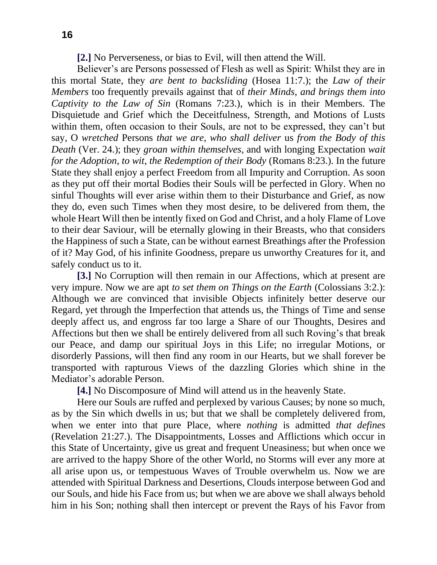**[2.]** No Perverseness, or bias to Evil, will then attend the Will.

Believer's are Persons possessed of Flesh as well as Spirit: Whilst they are in this mortal State, they *are bent to backsliding* (Hosea 11:7.); the *Law of their Members* too frequently prevails against that of *their Minds*, *and brings them into Captivity to the Law of Sin* (Romans 7:23.), which is in their Members. The Disquietude and Grief which the Deceitfulness, Strength, and Motions of Lusts within them, often occasion to their Souls, are not to be expressed, they can't but say, O *wretched* Persons *that we are*, *who shall deliver* us *from the Body of this Death* (Ver. 24.); they *groan within themselves*, and with longing Expectation *wait for the Adoption*, *to wit*, *the Redemption of their Body* (Romans 8:23.). In the future State they shall enjoy a perfect Freedom from all Impurity and Corruption. As soon as they put off their mortal Bodies their Souls will be perfected in Glory. When no sinful Thoughts will ever arise within them to their Disturbance and Grief, as now they do, even such Times when they most desire, to be delivered from them, the whole Heart Will then be intently fixed on God and Christ, and a holy Flame of Love to their dear Saviour, will be eternally glowing in their Breasts, who that considers the Happiness of such a State, can be without earnest Breathings after the Profession of it? May God, of his infinite Goodness, prepare us unworthy Creatures for it, and safely conduct us to it.

**[3.]** No Corruption will then remain in our Affections, which at present are very impure. Now we are apt *to set them on Things on the Earth* (Colossians 3:2.): Although we are convinced that invisible Objects infinitely better deserve our Regard, yet through the Imperfection that attends us, the Things of Time and sense deeply affect us, and engross far too large a Share of our Thoughts, Desires and Affections but then we shall be entirely delivered from all such Roving's that break our Peace, and damp our spiritual Joys in this Life; no irregular Motions, or disorderly Passions, will then find any room in our Hearts, but we shall forever be transported with rapturous Views of the dazzling Glories which shine in the Mediator's adorable Person.

**[4.]** No Discomposure of Mind will attend us in the heavenly State.

Here our Souls are ruffed and perplexed by various Causes; by none so much, as by the Sin which dwells in us; but that we shall be completely delivered from, when we enter into that pure Place, where *nothing* is admitted *that defines* (Revelation 21:27.). The Disappointments, Losses and Afflictions which occur in this State of Uncertainty, give us great and frequent Uneasiness; but when once we are arrived to the happy Shore of the other World, no Storms will ever any more at all arise upon us, or tempestuous Waves of Trouble overwhelm us. Now we are attended with Spiritual Darkness and Desertions, Clouds interpose between God and our Souls, and hide his Face from us; but when we are above we shall always behold him in his Son; nothing shall then intercept or prevent the Rays of his Favor from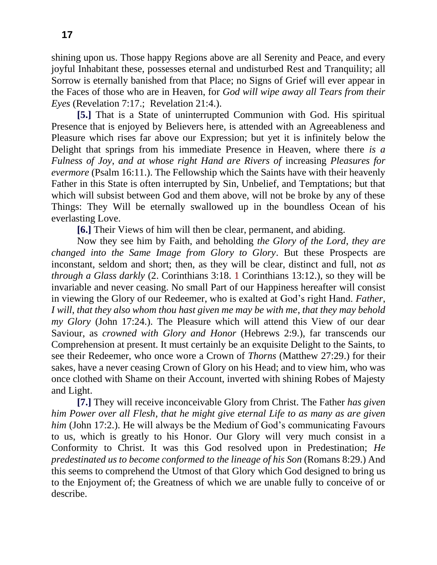shining upon us. Those happy Regions above are all Serenity and Peace, and every joyful Inhabitant these, possesses eternal and undisturbed Rest and Tranquility; all Sorrow is eternally banished from that Place; no Signs of Grief will ever appear in the Faces of those who are in Heaven, for *God will wipe away all Tears from their Eyes* (Revelation 7:17.; Revelation 21:4.).

**[5.]** That is a State of uninterrupted Communion with God. His spiritual Presence that is enjoyed by Believers here, is attended with an Agreeableness and Pleasure which rises far above our Expression; but yet it is infinitely below the Delight that springs from his immediate Presence in Heaven, where there *is a Fulness of Joy*, *and at whose right Hand are Rivers of* increasing *Pleasures for evermore* (Psalm 16:11.). The Fellowship which the Saints have with their heavenly Father in this State is often interrupted by Sin, Unbelief, and Temptations; but that which will subsist between God and them above, will not be broke by any of these Things: They Will be eternally swallowed up in the boundless Ocean of his everlasting Love.

**[6.]** Their Views of him will then be clear, permanent, and abiding.

Now they see him by Faith, and beholding *the Glory of the Lord*, *they are changed into the Same Image from Glory to Glory*. But these Prospects are inconstant, seldom and short; then, as they will be clear, distinct and full, not *as through a Glass darkly* (2. Corinthians 3:18. 1 Corinthians 13:12.), so they will be invariable and never ceasing. No small Part of our Happiness hereafter will consist in viewing the Glory of our Redeemer, who is exalted at God's right Hand. *Father*, *I will*, *that they also whom thou hast given me may be with me*, *that they may behold my Glory* (John 17:24.). The Pleasure which will attend this View of our dear Saviour, as *crowned with Glory and Honor* (Hebrews 2:9.), far transcends our Comprehension at present. It must certainly be an exquisite Delight to the Saints, to see their Redeemer, who once wore a Crown of *Thorns* (Matthew 27:29.) for their sakes, have a never ceasing Crown of Glory on his Head; and to view him, who was once clothed with Shame on their Account, inverted with shining Robes of Majesty and Light.

**[7.]** They will receive inconceivable Glory from Christ. The Father *has given him Power over all Flesh*, *that he might give eternal Life to as many as are given him* (John 17:2.). He will always be the Medium of God's communicating Favours to us, which is greatly to his Honor. Our Glory will very much consist in a Conformity to Christ. It was this God resolved upon in Predestination; *He predestinated us to become conformed to the lineage of his Son* (Romans 8:29.) And this seems to comprehend the Utmost of that Glory which God designed to bring us to the Enjoyment of; the Greatness of which we are unable fully to conceive of or describe.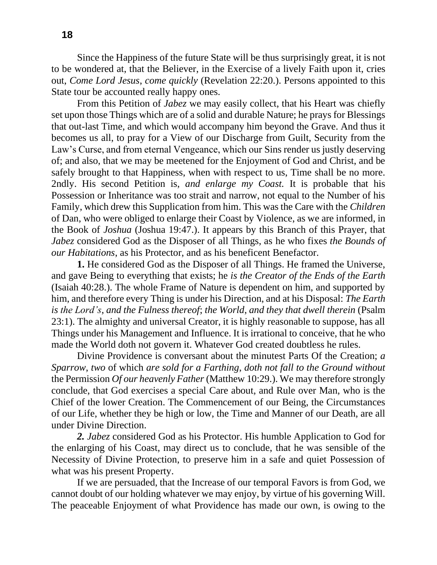Since the Happiness of the future State will be thus surprisingly great, it is not to be wondered at, that the Believer, in the Exercise of a lively Faith upon it, cries out, *Come Lord Jesus*, *come quickly* (Revelation 22:20.). Persons appointed to this State tour be accounted really happy ones.

From this Petition of *Jabez* we may easily collect, that his Heart was chiefly set upon those Things which are of a solid and durable Nature; he prays for Blessings that out-last Time, and which would accompany him beyond the Grave. And thus it becomes us all, to pray for a View of our Discharge from Guilt, Security from the Law's Curse, and from eternal Vengeance, which our Sins render us justly deserving of; and also, that we may be meetened for the Enjoyment of God and Christ, and be safely brought to that Happiness, when with respect to us, Time shall be no more. 2ndly. His second Petition is, *and enlarge my Coast.* It is probable that his Possession or Inheritance was too strait and narrow, not equal to the Number of his Family, which drew this Supplication from him. This was the Care with the *Children*  of Dan, who were obliged to enlarge their Coast by Violence, as we are informed, in the Book of *Joshua* (Joshua 19:47.). It appears by this Branch of this Prayer, that *Jabez* considered God as the Disposer of all Things, as he who fixes *the Bounds of our Habitations*, as his Protector, and as his beneficent Benefactor.

**1.** He considered God as the Disposer of all Things. He framed the Universe, and gave Being to everything that exists; he *is the Creator of the Ends of the Earth* (Isaiah 40:28.). The whole Frame of Nature is dependent on him, and supported by him, and therefore every Thing is under his Direction, and at his Disposal: *The Earth is the Lord's*, *and the Fulness thereof*; *the World*, *and they that dwell therein* (Psalm 23:1). The almighty and universal Creator, it is highly reasonable to suppose, has all Things under his Management and Influence. It is irrational to conceive, that he who made the World doth not govern it. Whatever God created doubtless he rules.

Divine Providence is conversant about the minutest Parts Of the Creation; *a Sparrow*, *two* of which *are sold for a Farthing*, *doth not fall to the Ground without*  the Permission *Of our heavenly Father* (Matthew 10:29.). We may therefore strongly conclude, that God exercises a special Care about, and Rule over Man, who is the Chief of the lower Creation. The Commencement of our Being, the Circumstances of our Life, whether they be high or low, the Time and Manner of our Death, are all under Divine Direction.

*2. Jabez* considered God as his Protector. His humble Application to God for the enlarging of his Coast, may direct us to conclude, that he was sensible of the Necessity of Divine Protection, to preserve him in a safe and quiet Possession of what was his present Property.

If we are persuaded, that the Increase of our temporal Favors is from God, we cannot doubt of our holding whatever we may enjoy, by virtue of his governing Will. The peaceable Enjoyment of what Providence has made our own, is owing to the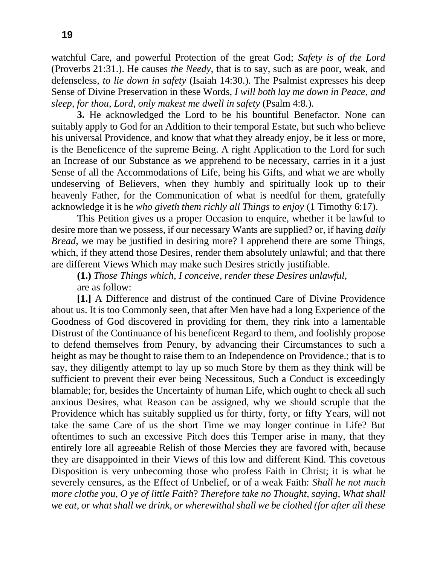watchful Care, and powerful Protection of the great God; *Safety is of the Lord* (Proverbs 21:31.). He causes *the Needy*, that is to say, such as are poor, weak, and defenseless, *to lie down in safety* (Isaiah 14:30.). The Psalmist expresses his deep Sense of Divine Preservation in these Words, *I will both lay me down in Peace*, *and sleep*, *for thou*, *Lord*, *only makest me dwell in safety* (Psalm 4:8.).

**3.** He acknowledged the Lord to be his bountiful Benefactor. None can suitably apply to God for an Addition to their temporal Estate, but such who believe his universal Providence, and know that what they already enjoy, be it less or more, is the Beneficence of the supreme Being. A right Application to the Lord for such an Increase of our Substance as we apprehend to be necessary, carries in it a just Sense of all the Accommodations of Life, being his Gifts, and what we are wholly undeserving of Believers, when they humbly and spiritually look up to their heavenly Father, for the Communication of what is needful for them, gratefully acknowledge it is he *who giveth them richly all Things to enjoy* (1 Timothy 6:17).

This Petition gives us a proper Occasion to enquire, whether it be lawful to desire more than we possess, if our necessary Wants are supplied? or, if having *daily Bread*, we may be justified in desiring more? I apprehend there are some Things, which, if they attend those Desires, render them absolutely unlawful; and that there are different Views Which may make such Desires strictly justifiable.

**(1.)** *Those Things which, I conceive, render these Desires unlawful,* are as follow:

**[1.]** A Difference and distrust of the continued Care of Divine Providence about us. It is too Commonly seen, that after Men have had a long Experience of the Goodness of God discovered in providing for them, they rink into a lamentable Distrust of the Continuance of his beneficent Regard to them, and foolishly propose to defend themselves from Penury, by advancing their Circumstances to such a height as may be thought to raise them to an Independence on Providence.; that is to say, they diligently attempt to lay up so much Store by them as they think will be sufficient to prevent their ever being Necessitous, Such a Conduct is exceedingly blamable; for, besides the Uncertainty of human Life, which ought to check all such anxious Desires, what Reason can be assigned, why we should scruple that the Providence which has suitably supplied us for thirty, forty, or fifty Years, will not take the same Care of us the short Time we may longer continue in Life? But oftentimes to such an excessive Pitch does this Temper arise in many, that they entirely lore all agreeable Relish of those Mercies they are favored with, because they are disappointed in their Views of this low and different Kind. This covetous Disposition is very unbecoming those who profess Faith in Christ; it is what he severely censures, as the Effect of Unbelief, or of a weak Faith: *Shall he not much more clothe you*, *O ye of little Faith*? *Therefore take no Thought*, *saying*, *What shall we eat*, *or what shall we drink*, *or wherewithal shall we be clothed (for after all these*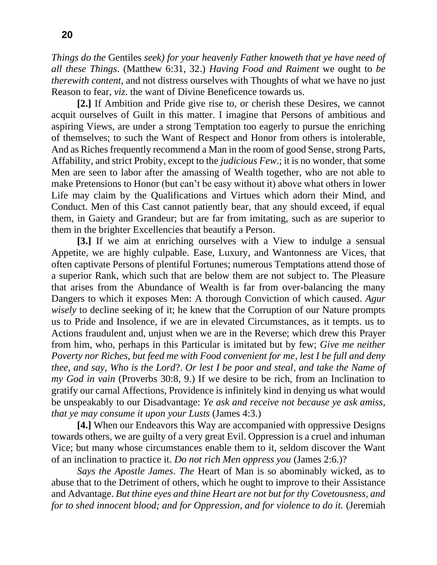*Things do the* Gentiles *seek) for your heavenly Father knoweth that ye have need of all these Things*. (Matthew 6:31, 32.) *Having Food and Raiment* we ought to *be therewith content*, and not distress ourselves with Thoughts of what we have no just Reason to fear, *viz*. the want of Divine Beneficence towards us.

**[2.]** If Ambition and Pride give rise to, or cherish these Desires, we cannot acquit ourselves of Guilt in this matter. I imagine that Persons of ambitious and aspiring Views, are under a strong Temptation too eagerly to pursue the enriching of themselves; to such the Want of Respect and Honor from others is intolerable, And as Riches frequently recommend a Man in the room of good Sense, strong Parts, Affability, and strict Probity, except to the *judicious Few*.; it is no wonder, that some Men are seen to labor after the amassing of Wealth together, who are not able to make Pretensions to Honor (but can't be easy without it) above what others in lower Life may claim by the Qualifications and Virtues which adorn their Mind, and Conduct. Men of this Cast cannot patiently bear, that any should exceed, if equal them, in Gaiety and Grandeur; but are far from imitating, such as are superior to them in the brighter Excellencies that beautify a Person.

**[3.]** If we aim at enriching ourselves with a View to indulge a sensual Appetite, we are highly culpable. Ease, Luxury, and Wantonness are Vices, that often captivate Persons of plentiful Fortunes; numerous Temptations attend those of a superior Rank, which such that are below them are not subject to. The Pleasure that arises from the Abundance of Wealth is far from over-balancing the many Dangers to which it exposes Men: A thorough Conviction of which caused. *Agur wisely* to decline seeking of it; he knew that the Corruption of our Nature prompts us to Pride and Insolence, if we are in elevated Circumstances, as it tempts. us to Actions fraudulent and, unjust when we are in the Reverse; which drew this Prayer from him, who, perhaps in this Particular is imitated but by few; *Give me neither Poverty nor Riches*, *but feed me with Food convenient for me*, *lest I be full and deny thee*, *and say*, *Who is the Lord*?. *Or lest I be poor and steal*, *and take the Name of my God in vain* (Proverbs 30:8, 9.) If we desire to be rich, from an Inclination to gratify our carnal Affections, Providence is infinitely kind in denying us what would be unspeakably to our Disadvantage: *Ye ask and receive not because ye ask amiss*, *that ye may consume it upon your Lusts* (James 4:3.)

**[4.]** When our Endeavors this Way are accompanied with oppressive Designs towards others, we are guilty of a very great Evil. Oppression is a cruel and inhuman Vice; but many whose circumstances enable them to it, seldom discover the Want of an inclination to practice it. *Do not rich Men oppress you* (James 2:6.)?

*Says the Apostle James*. *The* Heart of Man is so abominably wicked, as to abuse that to the Detriment of others, which he ought to improve to their Assistance and Advantage. *But thine eyes and thine Heart are not but for thy Covetousness, and for to shed innocent blood; and for Oppression, and for violence to do it. (Jeremiah*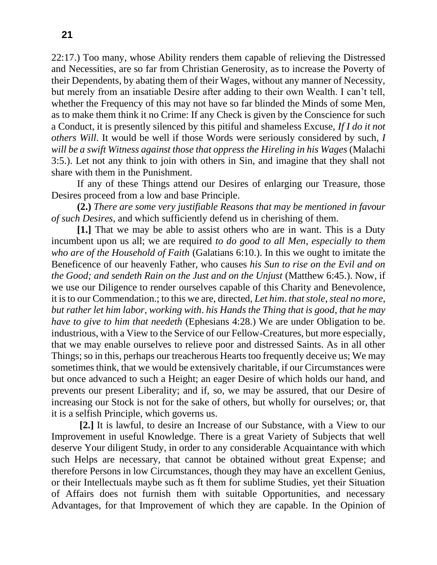22:17.) Too many, whose Ability renders them capable of relieving the Distressed and Necessities, are so far from Christian Generosity, as to increase the Poverty of their Dependents, by abating them of their Wages, without any manner of Necessity, but merely from an insatiable Desire after adding to their own Wealth. I can't tell, whether the Frequency of this may not have so far blinded the Minds of some Men, as to make them think it no Crime: If any Check is given by the Conscience for such a Conduct, it is presently silenced by this pitiful and shameless Excuse, *If I do it not others Will*. It would be well if those Words were seriously considered by such, *I will be a swift Witness against those that oppress the Hireling in his Wages* (Malachi 3:5.). Let not any think to join with others in Sin, and imagine that they shall not share with them in the Punishment.

If any of these Things attend our Desires of enlarging our Treasure, those Desires proceed from a low and base Principle.

**(2.)** *There are some very justifiable Reasons that may be mentioned in favour of such Desires,* and which sufficiently defend us in cherishing of them.

**[1.]** That we may be able to assist others who are in want. This is a Duty incumbent upon us all; we are required *to do good to all Men*, *especially to them who are of the Household of Faith* (Galatians 6:10.). In this we ought to imitate the Beneficence of our heavenly Father, who causes *his Sun to rise on the Evil and on the Good; and sendeth Rain on the Just and on the Unjust* (Matthew 6:45.). Now, if we use our Diligence to render ourselves capable of this Charity and Benevolence, it is to our Commendation.; to this we are, directed, *Let him*. *that stole*, *steal no more*, *but rather let him labor*, *working with*. *his Hands the Thing that is good*, *that he may have to give to him that needeth* (Ephesians 4:28.) We are under Obligation to be. industrious, with a View to the Service of our Fellow-Creatures, but more especially, that we may enable ourselves to relieve poor and distressed Saints. As in all other Things; so in this, perhaps our treacherous Hearts too frequently deceive us; We may sometimes think, that we would be extensively charitable, if our Circumstances were but once advanced to such a Height; an eager Desire of which holds our hand, and prevents our present Liberality; and if, so, we may be assured, that our Desire of increasing our Stock is not for the sake of others, but wholly for ourselves; or, that it is a selfish Principle, which governs us.

**[2.]** It is lawful, to desire an Increase of our Substance, with a View to our Improvement in useful Knowledge. There is a great Variety of Subjects that well deserve Your diligent Study, in order to any considerable Acquaintance with which such Helps are necessary, that cannot be obtained without great Expense; and therefore Persons in low Circumstances, though they may have an excellent Genius, or their Intellectuals maybe such as ft them for sublime Studies, yet their Situation of Affairs does not furnish them with suitable Opportunities, and necessary Advantages, for that Improvement of which they are capable. In the Opinion of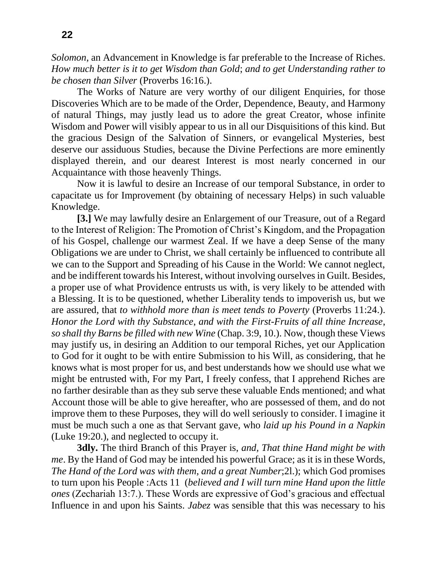*Solomon*, an Advancement in Knowledge is far preferable to the Increase of Riches. *How much better is it to get Wisdom than Gold*; *and to get Understanding rather to be chosen than Silver* (Proverbs 16:16.).

The Works of Nature are very worthy of our diligent Enquiries, for those Discoveries Which are to be made of the Order, Dependence, Beauty, and Harmony of natural Things, may justly lead us to adore the great Creator, whose infinite Wisdom and Power will visibly appear to us in all our Disquisitions of this kind. But the gracious Design of the Salvation of Sinners, or evangelical Mysteries, best deserve our assiduous Studies, because the Divine Perfections are more eminently displayed therein, and our dearest Interest is most nearly concerned in our Acquaintance with those heavenly Things.

Now it is lawful to desire an Increase of our temporal Substance, in order to capacitate us for Improvement (by obtaining of necessary Helps) in such valuable Knowledge.

**[3.]** We may lawfully desire an Enlargement of our Treasure, out of a Regard to the Interest of Religion: The Promotion of Christ's Kingdom, and the Propagation of his Gospel, challenge our warmest Zeal. If we have a deep Sense of the many Obligations we are under to Christ, we shall certainly be influenced to contribute all we can to the Support and Spreading of his Cause in the World: We cannot neglect, and be indifferent towards his Interest, without involving ourselvesin Guilt. Besides, a proper use of what Providence entrusts us with, is very likely to be attended with a Blessing. It is to be questioned, whether Liberality tends to impoverish us, but we are assured, that *to withhold more than is meet tends to Poverty* (Proverbs 11:24.). *Honor the Lord with thy Substance*, *and with the First-Fruits of all thine Increase*, *so shall thy Barns be filled with new Wine* (Chap. 3:9, 10.). Now, though these Views may justify us, in desiring an Addition to our temporal Riches, yet our Application to God for it ought to be with entire Submission to his Will, as considering, that he knows what is most proper for us, and best understands how we should use what we might be entrusted with, For my Part, I freely confess, that I apprehend Riches are no farther desirable than as they sub serve these valuable Ends mentioned; and what Account those will be able to give hereafter, who are possessed of them, and do not improve them to these Purposes, they will do well seriously to consider. I imagine it must be much such a one as that Servant gave, who *laid up his Pound in a Napkin* (Luke 19:20.), and neglected to occupy it.

**3dly.** The third Branch of this Prayer is, *and, That thine Hand might be with me*. By the Hand of God may be intended his powerful Grace; as it is in these Words, *The Hand of the Lord was with them*, *and a great Number*;2l.); which God promises to turn upon his People :Acts 11 (*believed and I will turn mine Hand upon the little ones* (Zechariah 13:7.). These Words are expressive of God's gracious and effectual Influence in and upon his Saints. *Jabez* was sensible that this was necessary to his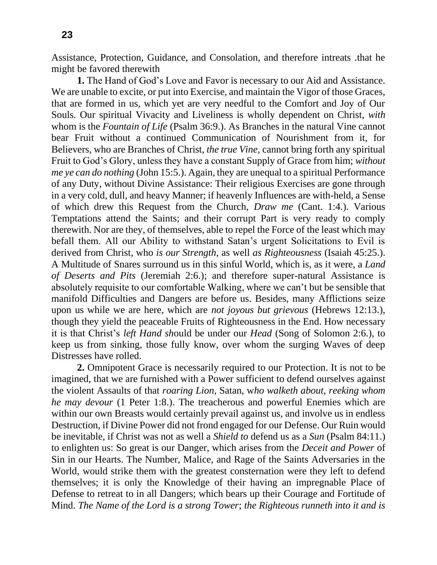Assistance, Protection, Guidance, and Consolation, and therefore intreats .that he might be favored therewith

**1.** The Hand of God's Love and Favor is necessary to our Aid and Assistance. We are unable to excite, or put into Exercise, and maintain the Vigor of those Graces, that are formed in us, which yet are very needful to the Comfort and Joy of Our Souls. Our spiritual Vivacity and Liveliness is wholly dependent on Christ, *with*  whom is the *Fountain of Life* (Psalm 36:9.). As Branches in the natural Vine cannot bear Fruit without a continued Communication of Nourishment from it, for Believers, who are Branches of Christ, *the true Vine*, cannot bring forth any spiritual Fruit to God's Glory, unless they have a constant Supply of Grace from him; *without me ye can do nothing* (John 15:5.). Again, they are unequal to a spiritual Performance of any Duty, without Divine Assistance: Their religious Exercises are gone through in a very cold, dull, and heavy Manner; if heavenly Influences are with-held, a Sense of which drew this Request from the Church, *Draw me* (Cant. 1:4.). Various Temptations attend the Saints; and their corrupt Part is very ready to comply therewith. Nor are they, of themselves, able to repel the Force of the least which may befall them. All our Ability to withstand Satan's urgent Solicitations to Evil is derived from Christ, who *is our Strength*, as well *as Righteousness* (Isaiah 45:25.). A Multitude of Snares surround us in this sinful World, which is, as it were, a *Land of Deserts and Pits* (Jeremiah 2:6.); and therefore super-natural Assistance is absolutely requisite to our comfortable Walking, where we can't but be sensible that manifold Difficulties and Dangers are before us. Besides, many Afflictions seize upon us while we are here, which are *not joyous but grievous* (Hebrews 12:13.), though they yield the peaceable Fruits of Righteousness in the End. How necessary it is that Christ's *left Hand sh*ould be under our *Head* (Song of Solomon 2:6.), to keep us from sinking, those fully know, over whom the surging Waves of deep Distresses have rolled.

**2.** Omnipotent Grace is necessarily required to our Protection. It is not to be imagined, that we are furnished with a Power sufficient to defend ourselves against the violent Assaults of that *roaring Lion*, Satan, w*ho walketh about*, *reeking whom he may devour* (1 Peter 1:8.). The treacherous and powerful Enemies which are within our own Breasts would certainly prevail against us, and involve us in endless Destruction, if Divine Power did not frond engaged for our Defense. Our Ruin would be inevitable, if Christ was not as well a *Shield to* defend us as a *Sun* (Psalm 84:11.) to enlighten us: So great is our Danger, which arises from the *Deceit and Power* of Sin in our Hearts. The Number, Malice, and Rage of the Saints Adversaries in the World, would strike them with the greatest consternation were they left to defend themselves; it is only the Knowledge of their having an impregnable Place of Defense to retreat to in all Dangers; which bears up their Courage and Fortitude of Mind. *The Name of the Lord is a strong Tower*; *the Righteous runneth into it and is*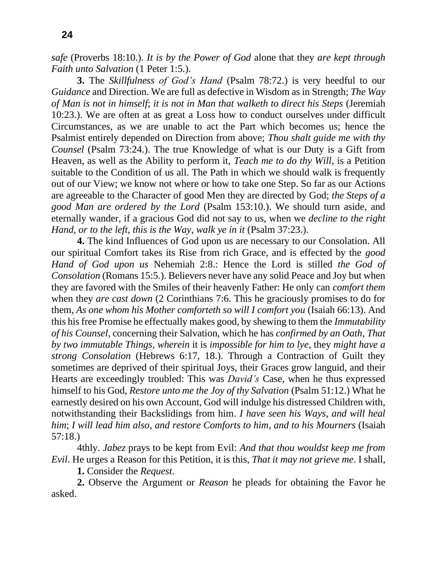*safe* (Proverbs 18:10.). *It is by the Power of God* alone that they *are kept through Faith unto Salvation* (1 Peter 1:5.).

**3.** The *Skillfulness of God's Hand* (Psalm 78:72.) is very heedful to our *Guidance* and Direction. We are full as defective in Wisdom as in Strength; *The Way of Man is not in himself*; *it is not in Man that walketh to direct his Steps* (Jeremiah 10:23.). We are often at as great a Loss how to conduct ourselves under difficult Circumstances, as we are unable to act the Part which becomes us; hence the Psalmist entirely depended on Direction from above; *Thou shalt guide me with thy Counsel* (Psalm 73:24.). The true Knowledge of what is our Duty is a Gift from Heaven, as well as the Ability to perform it, *Teach me to do thy Will*, is a Petition suitable to the Condition of us all. The Path in which we should walk is frequently out of our View; we know not where or how to take one Step. So far as our Actions are agreeable to the Character of good Men they are directed by God; *the Steps of a good Man are ordered by the Lord* (Psalm 153:10.). We should turn aside, and eternally wander, if a gracious God did not say to us, when we *decline to the right Hand*, *or to the left*, *this is the Way*, *walk ye in it* (Psalm 37:23.).

**4.** The kind Influences of God upon us are necessary to our Consolation. All our spiritual Comfort takes its Rise from rich Grace, and is effected by the *good Hand of God upon us* Nehemiah 2:8.: Hence the Lord is stilled *the God of Consolation* (Romans 15:5.). Believers never have any solid Peace and Joy but when they are favored with the Smiles of their heavenly Father: He only can *comfort them*  when they *are cast down* (2 Corinthians 7:6. This he graciously promises to do for them, *As one whom his Mother comforteth so will I comfort you* (Isaiah 66:13). And this his free Promise he effectually makes good, by shewing to them the *Immutability of his Counsel*, concerning their Salvation, which he has *confirmed by an Oath*, *That by two immutable Things*, *wherein* it is *impossible for him to lye*, they *might have a strong Consolation* (Hebrews 6:17, 18.). Through a Contraction of Guilt they sometimes are deprived of their spiritual Joys, their Graces grow languid, and their Hearts are exceedingly troubled: This was *David's* Case, when he thus expressed himself to his God, *Restore unto me the Joy of thy Salvation* (Psalm 51:12.) What he earnestly desired on his own Account, God will indulge his distressed Children with, notwithstanding their Backslidings from him. *I have seen his Ways*, *and will heal him*; *I will lead him also*, *and restore Comforts to him*, *and to his Mourners* (Isaiah 57:18.)

4thly. *Jabez* prays to be kept from Evil: *And that thou wouldst keep me from Evil*. He urges a Reason for this Petition, it is this, *That it may not grieve me*. I shall,

**1.** Consider the *Request*.

**2.** Observe the Argument or *Reason* he pleads for obtaining the Favor he asked.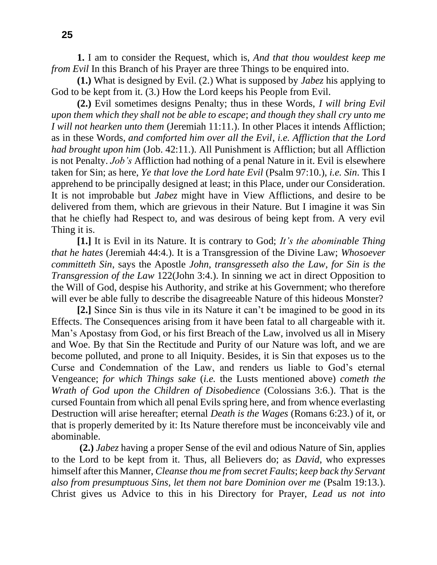**1.** I am to consider the Request, which is, *And that thou wouldest keep me from Evil* In this Branch of his Prayer are three Things to be enquired into.

**(1.)** What is designed by Evil. (2.) What is supposed by *Jabez* his applying to God to be kept from it. (3.) How the Lord keeps his People from Evil.

**(2.)** Evil sometimes designs Penalty; thus in these Words, *I will bring Evil upon them which they shall not be able to escape*; *and though they shall cry unto me I will not hearken unto them* (Jeremiah 11:11.). In other Places it intends Affliction; as in these Words, *and comforted him over all the Evil*, *i.e. Affliction that the Lord had brought upon him* (Job. 42:11.). All Punishment is Affliction; but all Affliction is not Penalty. *Job's* Affliction had nothing of a penal Nature in it. Evil is elsewhere taken for Sin; as here, *Ye that love the Lord hate Evil* (Psalm 97:10.), *i.e. Sin*. This I apprehend to be principally designed at least; in this Place, under our Consideration. It is not improbable but *Jabez* might have in View Afflictions, and desire to be delivered from them, which are grievous in their Nature. But I imagine it was Sin that he chiefly had Respect to, and was desirous of being kept from. A very evil Thing it is.

**[1.]** It is Evil in its Nature. It is contrary to God; *It's the abominable Thing that he hates* (Jeremiah 44:4.). It is a Transgression of the Divine Law; *Whosoever committeth Sin*, says the Apostle *John*, *transgresseth also the Law*, *for Sin is the Transgression of the Law* 122(John 3:4.). In sinning we act in direct Opposition to the Will of God, despise his Authority, and strike at his Government; who therefore will ever be able fully to describe the disagreeable Nature of this hideous Monster?

**[2.]** Since Sin is thus vile in its Nature it can't be imagined to be good in its Effects. The Consequences arising from it have been fatal to all chargeable with it. Man's Apostasy from God, or his first Breach of the Law, involved us all in Misery and Woe. By that Sin the Rectitude and Purity of our Nature was loft, and we are become polluted, and prone to all Iniquity. Besides, it is Sin that exposes us to the Curse and Condemnation of the Law, and renders us liable to God's eternal Vengeance; *for which Things sake* (*i.e.* the Lusts mentioned above) *cometh the Wrath of God upon the Children of Disobedience* (Colossians 3:6.). That is the cursed Fountain from which all penal Evils spring here, and from whence everlasting Destruction will arise hereafter; eternal *Death is the Wages* (Romans 6:23.) of it, or that is properly demerited by it: Its Nature therefore must be inconceivably vile and abominable.

**(2.)** *Jabez* having a proper Sense of the evil and odious Nature of Sin, applies to the Lord to be kept from it. Thus, all Believers do; as *David*, who expresses himself after this Manner, *Cleanse thou me from secret Faults*; *keep back thy Servant also from presumptuous Sins*, *let them not bare Dominion over me* (Psalm 19:13.). Christ gives us Advice to this in his Directory for Prayer, *Lead us not into*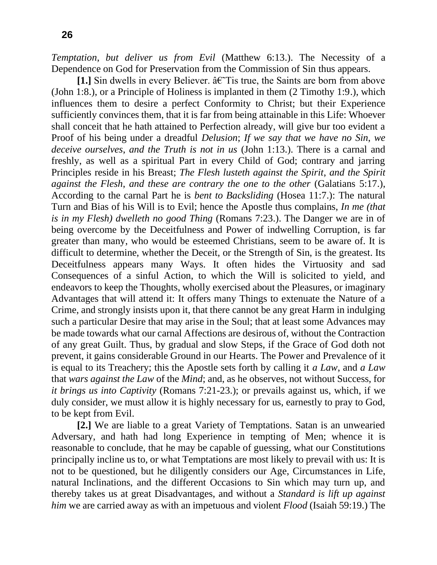*Temptation*, *but deliver us from Evil* (Matthew 6:13.). The Necessity of a Dependence on God for Preservation from the Commission of Sin thus appears.

**[1.]** Sin dwells in every Believer.  $\hat{a} \in T$  is true, the Saints are born from above (John 1:8.), or a Principle of Holiness is implanted in them (2 Timothy 1:9.), which influences them to desire a perfect Conformity to Christ; but their Experience sufficiently convinces them, that it is far from being attainable in this Life: Whoever shall conceit that he hath attained to Perfection already, will give bur too evident a Proof of his being under a dreadful *Delusion*; *If we say that we have no Sin*, *we deceive ourselves*, *and the Truth is not in us* (John 1:13.). There is a carnal and freshly, as well as a spiritual Part in every Child of God; contrary and jarring Principles reside in his Breast; *The Flesh lusteth against the Spirit*, *and the Spirit against the Flesh*, *and these are contrary the one to the other* (Galatians 5:17.), According to the carnal Part he is *bent to Backsliding* (Hosea 11:7.): The natural Turn and Bias of his Will is to Evil; hence the Apostle thus complains, *In me (that is in my Flesh) dwelleth no good Thing* (Romans 7:23.). The Danger we are in of being overcome by the Deceitfulness and Power of indwelling Corruption, is far greater than many, who would be esteemed Christians, seem to be aware of. It is difficult to determine, whether the Deceit, or the Strength of Sin, is the greatest. Its Deceitfulness appears many Ways. It often hides the Virtuosity and sad Consequences of a sinful Action, to which the Will is solicited to yield, and endeavors to keep the Thoughts, wholly exercised about the Pleasures, or imaginary Advantages that will attend it: It offers many Things to extenuate the Nature of a Crime, and strongly insists upon it, that there cannot be any great Harm in indulging such a particular Desire that may arise in the Soul; that at least some Advances may be made towards what our carnal Affections are desirous of, without the Contraction of any great Guilt. Thus, by gradual and slow Steps, if the Grace of God doth not prevent, it gains considerable Ground in our Hearts. The Power and Prevalence of it is equal to its Treachery; this the Apostle sets forth by calling it *a Law*, and *a Law*  that *wars against the Law* of the *Mind*; and, as he observes, not without Success, for *it brings us into Captivity* (Romans 7:21-23.); or prevails against us, which, if we duly consider, we must allow it is highly necessary for us, earnestly to pray to God, to be kept from Evil.

**[2.]** We are liable to a great Variety of Temptations. Satan is an unwearied Adversary, and hath had long Experience in tempting of Men; whence it is reasonable to conclude, that he may be capable of guessing, what our Constitutions principally incline us to, or what Temptations are most likely to prevail with us: It is not to be questioned, but he diligently considers our Age, Circumstances in Life, natural Inclinations, and the different Occasions to Sin which may turn up, and thereby takes us at great Disadvantages, and without a *Standard is lift up against him* we are carried away as with an impetuous and violent *Flood* (Isaiah 59:19.) The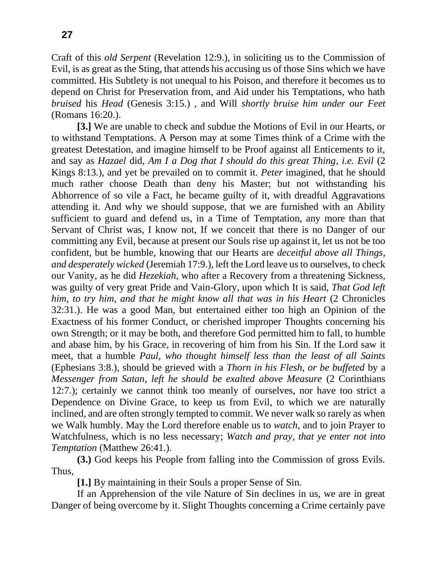Craft of this *old Serpent* (Revelation 12:9.), in soliciting us to the Commission of Evil, is as great as the Sting, that attends his accusing us of those Sins which we have committed. His Subtlety is not unequal to his Poison, and therefore it becomes us to depend on Christ for Preservation from, and Aid under his Temptations, who hath *bruised* his *Head* (Genesis 3:15.) , and Will *shortly bruise him under our Feet*  (Romans 16:20.).

**[3.]** We are unable to check and subdue the Motions of Evil in our Hearts, or to withstand Temptations. A Person may at some Times think of a Crime with the greatest Detestation, and imagine himself to be Proof against all Enticements to it, and say as *Hazael* did, *Am I a Dog that I should do this great Thing*, *i.e. Evil* (2 Kings 8:13.), and yet be prevailed on to commit it. *Peter* imagined, that he should much rather choose Death than deny his Master; but not withstanding his Abhorrence of so vile a Fact, he became guilty of it, with dreadful Aggravations attending it. And why we should suppose, that we are furnished with an Ability sufficient to guard and defend us, in a Time of Temptation, any more than that Servant of Christ was, I know not, If we conceit that there is no Danger of our committing any Evil, because at present our Souls rise up against it, let us not be too confident, but be humble, knowing that our Hearts are *deceitful above all Things*, *and desperately wicked* (Jeremiah 17:9.), left the Lord leave us to ourselves, to check our Vanity, as he did *Hezekiah*, who after a Recovery from a threatening Sickness, was guilty of very great Pride and Vain-Glory, upon which It is said, *That God left him*, *to try him*, *and that he might know all that was in his Heart* (2 Chronicles 32:31.). He was a good Man, but entertained either too high an Opinion of the Exactness of his former Conduct, or cherished improper Thoughts concerning his own Strength; or it may be both, and therefore God permitted him to fall, to humble and abase him, by his Grace, in recovering of him from his Sin. If the Lord saw it meet, that a humble *Paul*, *who thought himself less than the least of all Saints* (Ephesians 3:8.), should be grieved with a *Thorn in his Flesh*, *or be buffeted* by a *Messenger from Satan*, *left he should be exalted above Measure* (2 Corinthians 12:7.); certainly we cannot think too meanly of ourselves, nor have too strict a Dependence on Divine Grace, to keep us from Evil, to which we are naturally inclined, and are often strongly tempted to commit. We never walk so rarely as when we Walk humbly. May the Lord therefore enable us to *watch*, and to join Prayer to Watchfulness, which is no less necessary; *Watch and pray*, *that ye enter not into Temptation* (Matthew 26:41.).

**(3.)** God keeps his People from falling into the Commission of gross Evils. Thus,

**[1.]** By maintaining in their Souls a proper Sense of Sin.

If an Apprehension of the vile Nature of Sin declines in us, we are in great Danger of being overcome by it. Slight Thoughts concerning a Crime certainly pave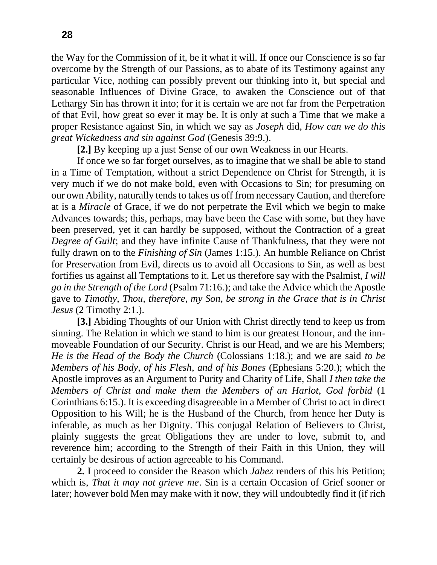the Way for the Commission of it, be it what it will. If once our Conscience is so far overcome by the Strength of our Passions, as to abate of its Testimony against any particular Vice, nothing can possibly prevent our thinking into it, but special and seasonable Influences of Divine Grace, to awaken the Conscience out of that Lethargy Sin has thrown it into; for it is certain we are not far from the Perpetration of that Evil, how great so ever it may be. It is only at such a Time that we make a proper Resistance against Sin, in which we say as *Joseph* did, *How can we do this great Wickedness and sin against God* (Genesis 39:9.).

**[2.]** By keeping up a just Sense of our own Weakness in our Hearts.

If once we so far forget ourselves, as to imagine that we shall be able to stand in a Time of Temptation, without a strict Dependence on Christ for Strength, it is very much if we do not make bold, even with Occasions to Sin; for presuming on our own Ability, naturally tends to takes us off from necessary Caution, and therefore at is a *Miracle* of Grace, if we do not perpetrate the Evil which we begin to make Advances towards; this, perhaps, may have been the Case with some, but they have been preserved, yet it can hardly be supposed, without the Contraction of a great *Degree of Guilt*; and they have infinite Cause of Thankfulness, that they were not fully drawn on to the *Finishing of Sin* (James 1:15.). An humble Reliance on Christ for Preservation from Evil, directs us to avoid all Occasions to Sin, as well as best fortifies us against all Temptations to it. Let us therefore say with the Psalmist, *I will go in the Strength of the Lord* (Psalm 71:16.); and take the Advice which the Apostle gave to *Timothy*, *Thou*, *therefore*, *my Son*, *be strong in the Grace that is in Christ Jesus* (2 Timothy 2:1.).

**[3.]** Abiding Thoughts of our Union with Christ directly tend to keep us from sinning. The Relation in which we stand to him is our greatest Honour, and the innmoveable Foundation of our Security. Christ is our Head, and we are his Members; *He is the Head of the Body the Church* (Colossians 1:18.); and we are said *to be Members of his Body*, *of his Flesh*, *and of his Bones* (Ephesians 5:20.); which the Apostle improves as an Argument to Purity and Charity of Life, Shall *I then take the Members of Christ and make them the Members of an Harlot*, *God forbid* (1 Corinthians 6:15.). It is exceeding disagreeable in a Member of Christ to act in direct Opposition to his Will; he is the Husband of the Church, from hence her Duty is inferable, as much as her Dignity. This conjugal Relation of Believers to Christ, plainly suggests the great Obligations they are under to love, submit to, and reverence him; according to the Strength of their Faith in this Union, they will certainly be desirous of action agreeable to his Command.

**2.** I proceed to consider the Reason which *Jabez* renders of this his Petition; which is, *That it may not grieve me*. Sin is a certain Occasion of Grief sooner or later; however bold Men may make with it now, they will undoubtedly find it (if rich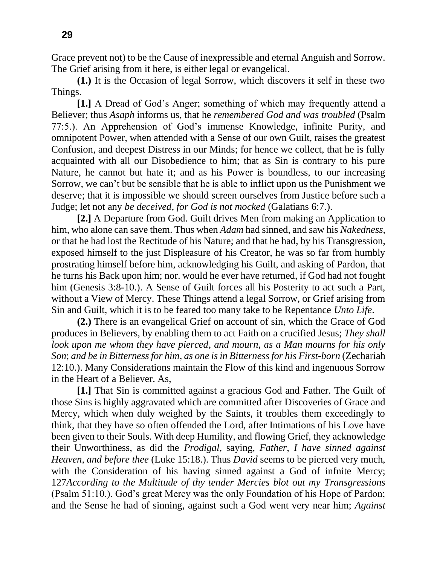Grace prevent not) to be the Cause of inexpressible and eternal Anguish and Sorrow. The Grief arising from it here, is either legal or evangelical.

**(1.)** It is the Occasion of legal Sorrow, which discovers it self in these two Things.

**[1.]** A Dread of God's Anger; something of which may frequently attend a Believer; thus *Asaph* informs us, that he *remembered God and was troubled* (Psalm 77:5.). An Apprehension of God's immense Knowledge, infinite Purity, and omnipotent Power, when attended with a Sense of our own Guilt, raises the greatest Confusion, and deepest Distress in our Minds; for hence we collect, that he is fully acquainted with all our Disobedience to him; that as Sin is contrary to his pure Nature, he cannot but hate it; and as his Power is boundless, to our increasing Sorrow, we can't but be sensible that he is able to inflict upon us the Punishment we deserve; that it is impossible we should screen ourselves from Justice before such a Judge; let not any *be deceived*, *for God is not mocked* (Galatians 6:7.).

**[2.]** A Departure from God. Guilt drives Men from making an Application to him, who alone can save them. Thus when *Adam* had sinned, and saw his *Nakedness*, or that he had lost the Rectitude of his Nature; and that he had, by his Transgression, exposed himself to the just Displeasure of his Creator, he was so far from humbly prostrating himself before him, acknowledging his Guilt, and asking of Pardon, that he turns his Back upon him; nor. would he ever have returned, if God had not fought him (Genesis 3:8-10.). A Sense of Guilt forces all his Posterity to act such a Part, without a View of Mercy. These Things attend a legal Sorrow, or Grief arising from Sin and Guilt, which it is to be feared too many take to be Repentance *Unto Life*.

**(2.)** There is an evangelical Grief on account of sin, which the Grace of God produces in Believers, by enabling them to act Faith on a crucified Jesus; *They shall look upon me whom they have pierced*, *and mourn*, *as a Man mourns for his only Son*; *and be in Bitterness for him*, *as one is in Bitterness for his First-born* (Zechariah 12:10.). Many Considerations maintain the Flow of this kind and ingenuous Sorrow in the Heart of a Believer. As,

**[1.]** That Sin is committed against a gracious God and Father. The Guilt of those Sins is highly aggravated which are committed after Discoveries of Grace and Mercy, which when duly weighed by the Saints, it troubles them exceedingly to think, that they have so often offended the Lord, after Intimations of his Love have been given to their Souls. With deep Humility, and flowing Grief, they acknowledge their Unworthiness, as did the *Prodigal*, saying, *Father*, *I have sinned against Heaven*, *and before thee* (Luke 15:18.). Thus *David* seems to be pierced very much, with the Consideration of his having sinned against a God of infnite Mercy; 127*According to the Multitude of thy tender Mercies blot out my Transgressions* (Psalm 51:10.). God's great Mercy was the only Foundation of his Hope of Pardon; and the Sense he had of sinning, against such a God went very near him; *Against*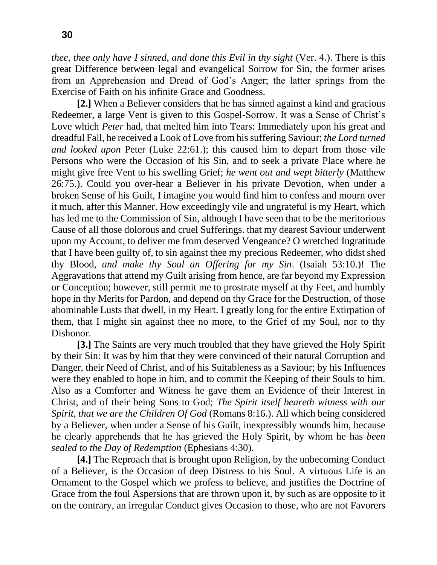*thee*, *thee only have I sinned*, *and done this Evil in thy sight* (Ver. 4.). There is this great Difference between legal and evangelical Sorrow for Sin, the former arises from an Apprehension and Dread of God's Anger; the latter springs from the Exercise of Faith on his infinite Grace and Goodness.

**[2.]** When a Believer considers that he has sinned against a kind and gracious Redeemer, a large Vent is given to this Gospel-Sorrow. It was a Sense of Christ's Love which *Peter* had, that melted him into Tears: Immediately upon his great and dreadful Fall, he received a Look of Love from his suffering Saviour; *the Lord turned and looked upon* Peter (Luke 22:61.); this caused him to depart from those vile Persons who were the Occasion of his Sin, and to seek a private Place where he might give free Vent to his swelling Grief; *he went out and wept bitterly* (Matthew 26:75.). Could you over-hear a Believer in his private Devotion, when under a broken Sense of his Guilt, I imagine you would find him to confess and mourn over it much, after this Manner. How exceedingly vile and ungrateful is my Heart, which has led me to the Commission of Sin, although I have seen that to be the meritorious Cause of all those dolorous and cruel Sufferings. that my dearest Saviour underwent upon my Account, to deliver me from deserved Vengeance? O wretched Ingratitude that I have been guilty of, to sin against thee my precious Redeemer, who didst shed thy Blood, *and make thy Soul an Offering for my Sin*. (Isaiah 53:10.)! The Aggravations that attend my Guilt arising from hence, are far beyond my Expression or Conception; however, still permit me to prostrate myself at thy Feet, and humbly hope in thy Merits for Pardon, and depend on thy Grace for the Destruction, of those abominable Lusts that dwell, in my Heart. I greatly long for the entire Extirpation of them, that I might sin against thee no more, to the Grief of my Soul, nor to thy Dishonor.

**[3.]** The Saints are very much troubled that they have grieved the Holy Spirit by their Sin: It was by him that they were convinced of their natural Corruption and Danger, their Need of Christ, and of his Suitableness as a Saviour; by his Influences were they enabled to hope in him, and to commit the Keeping of their Souls to him. Also as a Comforter and Witness he gave them an Evidence of their Interest in Christ, and of their being Sons to God; *The Spirit itself beareth witness with our Spirit*, *that we are the Children Of God* (Romans 8:16.). All which being considered by a Believer, when under a Sense of his Guilt, inexpressibly wounds him, because he clearly apprehends that he has grieved the Holy Spirit, by whom he has *been sealed to the Day of Redemption* (Ephesians 4:30).

**[4.]** The Reproach that is brought upon Religion, by the unbecoming Conduct of a Believer, is the Occasion of deep Distress to his Soul. A virtuous Life is an Ornament to the Gospel which we profess to believe, and justifies the Doctrine of Grace from the foul Aspersions that are thrown upon it, by such as are opposite to it on the contrary, an irregular Conduct gives Occasion to those, who are not Favorers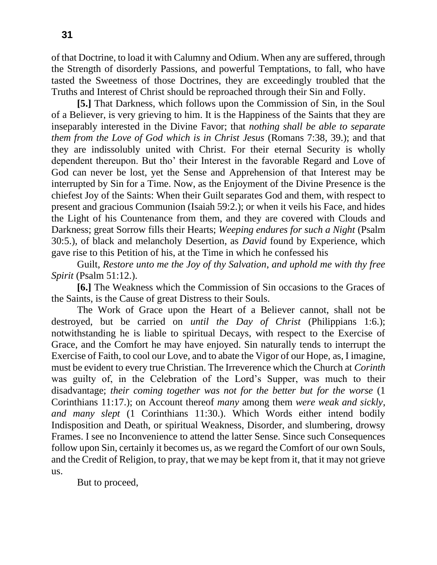of that Doctrine, to load it with Calumny and Odium. When any are suffered, through the Strength of disorderly Passions, and powerful Temptations, to fall, who have tasted the Sweetness of those Doctrines, they are exceedingly troubled that the Truths and Interest of Christ should be reproached through their Sin and Folly.

**[5.]** That Darkness, which follows upon the Commission of Sin, in the Soul of a Believer, is very grieving to him. It is the Happiness of the Saints that they are inseparably interested in the Divine Favor; that *nothing shall be able to separate them from the Love of God which is in Christ Jesus* (Romans 7:38, 39.); and that they are indissolubly united with Christ. For their eternal Security is wholly dependent thereupon. But tho' their Interest in the favorable Regard and Love of God can never be lost, yet the Sense and Apprehension of that Interest may be interrupted by Sin for a Time. Now, as the Enjoyment of the Divine Presence is the chiefest Joy of the Saints: When their Guilt separates God and them, with respect to present and gracious Communion (Isaiah 59:2.); or when it veils his Face, and hides the Light of his Countenance from them, and they are covered with Clouds and Darkness; great Sorrow fills their Hearts; *Weeping endures for such a Night* (Psalm 30:5.), of black and melancholy Desertion, as *David* found by Experience, which gave rise to this Petition of his, at the Time in which he confessed his

Guilt, *Restore unto me the Joy of thy Salvation*, *and uphold me with thy free Spirit* (Psalm 51:12.).

**[6.]** The Weakness which the Commission of Sin occasions to the Graces of the Saints, is the Cause of great Distress to their Souls.

The Work of Grace upon the Heart of a Believer cannot, shall not be destroyed, but be carried on *until the Day of Christ* (Philippians 1:6.); notwithstanding he is liable to spiritual Decays, with respect to the Exercise of Grace, and the Comfort he may have enjoyed. Sin naturally tends to interrupt the Exercise of Faith, to cool our Love, and to abate the Vigor of our Hope, as, I imagine, must be evident to every true Christian. The Irreverence which the Church at *Corinth*  was guilty of, in the Celebration of the Lord's Supper, was much to their disadvantage; *their coming together was not for the better but for the worse* (1 Corinthians 11:17.); on Account thereof *many* among them *were weak and sickly*, *and many slept* (1 Corinthians 11:30.). Which Words either intend bodily Indisposition and Death, or spiritual Weakness, Disorder, and slumbering, drowsy Frames. I see no Inconvenience to attend the latter Sense. Since such Consequences follow upon Sin, certainly it becomes us, as we regard the Comfort of our own Souls, and the Credit of Religion, to pray, that we may be kept from it, that it may not grieve us.

But to proceed,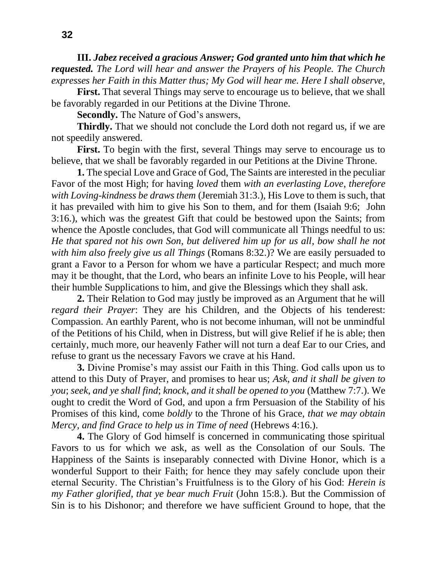**III.** *Jabez received a gracious Answer; God granted unto him that which he requested. The Lord will hear and answer the Prayers of his People. The Church expresses her Faith in this Matter thus; My God will hear me. Here I shall observe,*

**First.** That several Things may serve to encourage us to believe, that we shall be favorably regarded in our Petitions at the Divine Throne.

**Secondly.** The Nature of God's answers,

**Thirdly.** That we should not conclude the Lord doth not regard us, if we are not speedily answered.

**First.** To begin with the first, several Things may serve to encourage us to believe, that we shall be favorably regarded in our Petitions at the Divine Throne.

**1.** The special Love and Grace of God, The Saints are interested in the peculiar Favor of the most High; for having *loved* them *with an everlasting Love*, *therefore with Loving-kindness be draws them* (Jeremiah 31:3.), His Love to them is such, that it has prevailed with him to give his Son to them, and for them (Isaiah 9:6; John 3:16.), which was the greatest Gift that could be bestowed upon the Saints; from whence the Apostle concludes, that God will communicate all Things needful to us: *He that spared not his own Son*, *but delivered him up for us all*, *bow shall he not with him also freely give us all Things* (Romans 8:32.)? We are easily persuaded to grant a Favor to a Person for whom we have a particular Respect; and much more may it be thought, that the Lord, who bears an infinite Love to his People, will hear their humble Supplications to him, and give the Blessings which they shall ask.

**2.** Their Relation to God may justly be improved as an Argument that he will *regard their Prayer*: They are his Children, and the Objects of his tenderest: Compassion. An earthly Parent, who is not become inhuman, will not be unmindful of the Petitions of his Child, when in Distress, but will give Relief if he is able; then certainly, much more, our heavenly Father will not turn a deaf Ear to our Cries, and refuse to grant us the necessary Favors we crave at his Hand.

**3.** Divine Promise's may assist our Faith in this Thing. God calls upon us to attend to this Duty of Prayer, and promises to hear us; *Ask*, *and it shall be given to you*; *seek*, *and ye shall find*; *knock*, *and it shall be opened to you* (Matthew 7:7.). We ought to credit the Word of God, and upon a frm Persuasion of the Stability of his Promises of this kind, come *boldly* to the Throne of his Grace, *that we may obtain Mercy*, *and find Grace to help us in Time of need* (Hebrews 4:16.).

**4.** The Glory of God himself is concerned in communicating those spiritual Favors to us for which we ask, as well as the Consolation of our Souls. The Happiness of the Saints is inseparably connected with Divine Honor, which is a wonderful Support to their Faith; for hence they may safely conclude upon their eternal Security. The Christian's Fruitfulness is to the Glory of his God: *Herein is my Father glorified*, *that ye bear much Fruit* (John 15:8.). But the Commission of Sin is to his Dishonor; and therefore we have sufficient Ground to hope, that the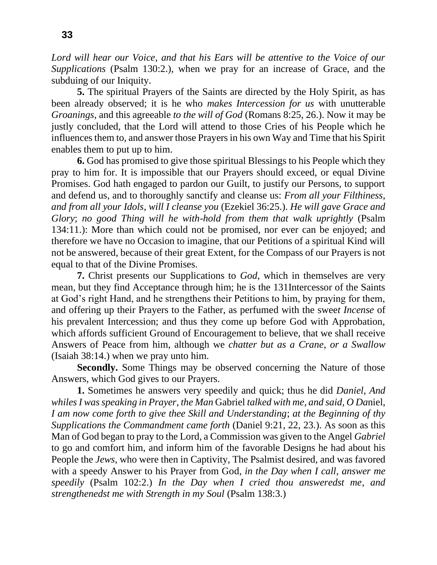*Lord will hear our Voice*, *and that his Ears will be attentive to the Voice of our Supplications* (Psalm 130:2.), when we pray for an increase of Grace, and the subduing of our Iniquity.

**5.** The spiritual Prayers of the Saints are directed by the Holy Spirit, as has been already observed; it is he who *makes Intercession for us* with unutterable *Groanings*, and this agreeable *to the will of God* (Romans 8:25, 26.). Now it may be justly concluded, that the Lord will attend to those Cries of his People which he influences them to, and answer those Prayers in his own Way and Time that his Spirit enables them to put up to him.

**6.** God has promised to give those spiritual Blessings to his People which they pray to him for. It is impossible that our Prayers should exceed, or equal Divine Promises. God hath engaged to pardon our Guilt, to justify our Persons, to support and defend us, and to thoroughly sanctify and cleanse us: *From all your Filthiness*, *and from all your Idols*, *will I cleanse you* (Ezekiel 36:25.). *He will gave Grace and Glory*; *no good Thing will he with-hold from them that walk uprightly* (Psalm 134:11.): More than which could not be promised, nor ever can be enjoyed; and therefore we have no Occasion to imagine, that our Petitions of a spiritual Kind will not be answered, because of their great Extent, for the Compass of our Prayers is not equal to that of the Divine Promises.

**7.** Christ presents our Supplications to *God*, which in themselves are very mean, but they find Acceptance through him; he is the 131Intercessor of the Saints at God's right Hand, and he strengthens their Petitions to him, by praying for them, and offering up their Prayers to the Father, as perfumed with the swee*t Incense* of his prevalent Intercession; and thus they come up before God with Approbation, which affords sufficient Ground of Encouragement to believe, that we shall receive Answers of Peace from him, although we *chatter but as a Crane*, *or a Swallow*  (Isaiah 38:14.) when we pray unto him.

**Secondly.** Some Things may be observed concerning the Nature of those Answers, which God gives to our Prayers.

**1.** Sometimes he answers very speedily and quick; thus he did *Daniel*, *And whiles I was speaking in Prayer*, *the Man* Gabriel *talked with me*, *and said*, *O Da*niel, *I am now come forth to give thee Skill and Understanding*; *at the Beginning of thy Supplications the Commandment came forth* (Daniel 9:21, 22, 23.). As soon as this Man of God began to pray to the Lord, a Commission was given to the Angel *Gabriel*  to go and comfort him, and inform him of the favorable Designs he had about his People the *Jews*, who were then in Captivity, The Psalmist desired, and was favored with a speedy Answer to his Prayer from God, *in the Day when I call*, *answer me speedily* (Psalm 102:2.) *In the Day when I cried thou answeredst me*, *and strengthenedst me with Strength in my Soul* (Psalm 138:3.)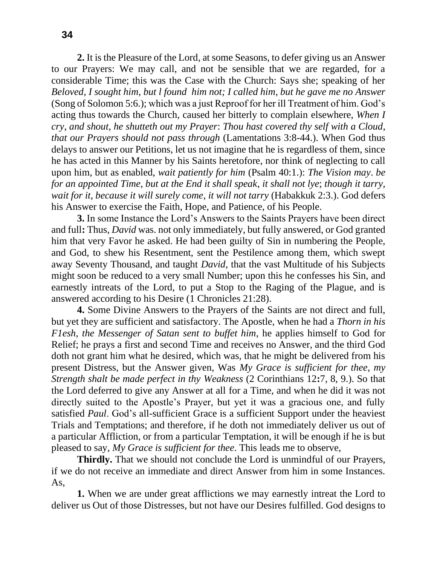**2.** It is the Pleasure of the Lord, at some Seasons, to defer giving us an Answer to our Prayers: We may call, and not be sensible that we are regarded, for a considerable Time; this was the Case with the Church: Says she; speaking of her *Beloved*, *I sought him*, *but l found him not; I called him*, *but he gave me no Answer* (Song of Solomon 5:6.); which was a just Reproof for her ill Treatment of him. God's acting thus towards the Church, caused her bitterly to complain elsewhere, *When I cry*, *and shout*, *he shutteth out my Prayer*: *Thou hast covered thy self with a Cloud*, *that our Prayers should not pass through* (Lamentations 3:8-44.). When God thus delays to answer our Petitions, let us not imagine that he is regardless of them, since he has acted in this Manner by his Saints heretofore, nor think of neglecting to call

upon him, but as enabled, *wait patiently for him* (Psalm 40:1.): *The Vision may*. *be for an appointed Time*, *but at the End it shall speak*, *it shall not lye*; *though it tarry, wait for it*, *because it will surely come*, *it will not tarry* (Habakkuk 2:3.). God defers his Answer to exercise the Faith, Hope, and Patience, of his People.

**3.** In some Instance the Lord's Answers to the Saints Prayers have been direct and full**:** Thus, *David* was. not only immediately, but fully answered, or God granted him that very Favor he asked. He had been guilty of Sin in numbering the People, and God, to shew his Resentment, sent the Pestilence among them, which swept away Seventy Thousand, and taught *David*, that the vast Multitude of his Subjects might soon be reduced to a very small Number; upon this he confesses his Sin, and earnestly intreats of the Lord, to put a Stop to the Raging of the Plague, and is answered according to his Desire (1 Chronicles 21:28).

**4.** Some Divine Answers to the Prayers of the Saints are not direct and full, but yet they are sufficient and satisfactory. The Apostle, when he had a *Thorn in his F1esh*, *the Messenger of Satan sent to buffet him*, he applies himself to God for Relief; he prays a first and second Time and receives no Answer, and the third God doth not grant him what he desired, which was, that he might be delivered from his present Distress, but the Answer given, Was *My Grace is sufficient for thee*, *my Strength shalt be made perfect in thy Weakness* (2 Corinthians 12**:**7, 8, 9.). So that the Lord deferred to give any Answer at all for a Time, and when he did it was not directly suited to the Apostle's Prayer, but yet it was a gracious one, and fully satisfied *Paul*. God's all-sufficient Grace is a sufficient Support under the heaviest Trials and Temptations; and therefore, if he doth not immediately deliver us out of a particular Affliction, or from a particular Temptation, it will be enough if he is but pleased to say, *My Grace is sufficient for thee*. This leads me to observe,

**Thirdly.** That we should not conclude the Lord is unmindful of our Prayers, if we do not receive an immediate and direct Answer from him in some Instances. As,

**1.** When we are under great afflictions we may earnestly intreat the Lord to deliver us Out of those Distresses, but not have our Desires fulfilled. God designs to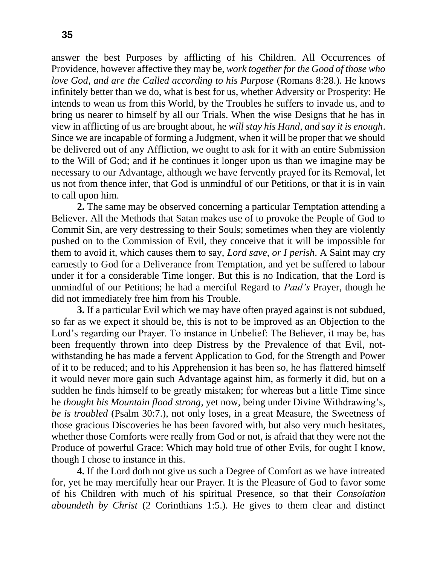answer the best Purposes by afflicting of his Children. All Occurrences of Providence, however affective they may be, *work together for the Good of those who love God*, *and are the Called according to his Purpose* (Romans 8:28.). He knows infinitely better than we do, what is best for us, whether Adversity or Prosperity: He intends to wean us from this World, by the Troubles he suffers to invade us, and to bring us nearer to himself by all our Trials. When the wise Designs that he has in view in afflicting of us are brought about, he *will stay his Hand*, *and say it is enough*. Since we are incapable of forming a Judgment, when it will be proper that we should be delivered out of any Affliction, we ought to ask for it with an entire Submission to the Will of God; and if he continues it longer upon us than we imagine may be necessary to our Advantage, although we have fervently prayed for its Removal, let us not from thence infer, that God is unmindful of our Petitions, or that it is in vain to call upon him.

**2.** The same may be observed concerning a particular Temptation attending a Believer. All the Methods that Satan makes use of to provoke the People of God to Commit Sin, are very destressing to their Souls; sometimes when they are violently pushed on to the Commission of Evil, they conceive that it will be impossible for them to avoid it, which causes them to say, *Lord save*, *or I perish*. A Saint may cry earnestly to God for a Deliverance from Temptation, and yet be suffered to labour under it for a considerable Time longer. But this is no Indication, that the Lord is unmindful of our Petitions; he had a merciful Regard to *Paul's* Prayer, though he did not immediately free him from his Trouble.

**3.** If a particular Evil which we may have often prayed against is not subdued, so far as we expect it should be, this is not to be improved as an Objection to the Lord's regarding our Prayer. To instance in Unbelief: The Believer, it may be, has been frequently thrown into deep Distress by the Prevalence of that Evil, notwithstanding he has made a fervent Application to God, for the Strength and Power of it to be reduced; and to his Apprehension it has been so, he has flattered himself it would never more gain such Advantage against him, as formerly it did, but on a sudden he finds himself to be greatly mistaken; for whereas but a little Time since he *thought his Mountain flood strong*, yet now, being under Divine Withdrawing's, *be is troubled* (Psalm 30:7.), not only loses, in a great Measure, the Sweetness of those gracious Discoveries he has been favored with, but also very much hesitates, whether those Comforts were really from God or not, is afraid that they were not the Produce of powerful Grace: Which may hold true of other Evils, for ought I know, though I chose to instance in this.

**4.** If the Lord doth not give us such a Degree of Comfort as we have intreated for, yet he may mercifully hear our Prayer. It is the Pleasure of God to favor some of his Children with much of his spiritual Presence, so that their *Consolation aboundeth by Christ* (2 Corinthians 1:5.). He gives to them clear and distinct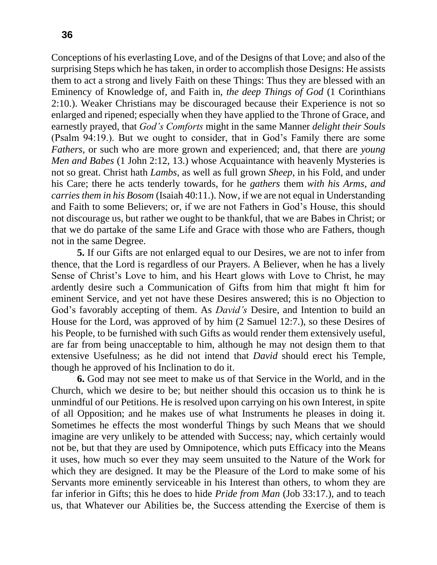Conceptions of his everlasting Love, and of the Designs of that Love; and also of the surprising Steps which he has taken, in order to accomplish those Designs: He assists them to act a strong and lively Faith on these Things: Thus they are blessed with an Eminency of Knowledge of, and Faith in, *the deep Things of God* (1 Corinthians 2:10.). Weaker Christians may be discouraged because their Experience is not so enlarged and ripened; especially when they have applied to the Throne of Grace, and earnestly prayed, that *God's Comforts* might in the same Manner *delight their Souls* (Psalm 94:19.). But we ought to consider, that in God's Family there are some *Fathers*, or such who are more grown and experienced; and, that there are *young Men and Babes* (1 John 2:12, 13.) whose Acquaintance with heavenly Mysteries is not so great. Christ hath *Lambs*, as well as full grown *Sheep*, in his Fold, and under his Care; there he acts tenderly towards, for he *gathers* them *with his Arms*, *and carries them in his Bosom* (Isaiah 40:11.). Now, if we are not equal in Understanding and Faith to some Believers; or, if we are not Fathers in God's House, this should not discourage us, but rather we ought to be thankful, that we are Babes in Christ; or that we do partake of the same Life and Grace with those who are Fathers, though not in the same Degree.

**5.** If our Gifts are not enlarged equal to our Desires, we are not to infer from thence, that the Lord is regardless of our Prayers. A Believer, when he has a lively Sense of Christ's Love to him, and his Heart glows with Love to Christ, he may ardently desire such a Communication of Gifts from him that might ft him for eminent Service, and yet not have these Desires answered; this is no Objection to God's favorably accepting of them. As *David's* Desire, and Intention to build an House for the Lord, was approved of by him (2 Samuel 12:7.), so these Desires of his People, to be furnished with such Gifts as would render them extensively useful, are far from being unacceptable to him, although he may not design them to that extensive Usefulness; as he did not intend that *David* should erect his Temple, though he approved of his Inclination to do it.

**6.** God may not see meet to make us of that Service in the World, and in the Church, which we desire to be; but neither should this occasion us to think he is unmindful of our Petitions. He is resolved upon carrying on his own Interest, in spite of all Opposition; and he makes use of what Instruments he pleases in doing it. Sometimes he effects the most wonderful Things by such Means that we should imagine are very unlikely to be attended with Success; nay, which certainly would not be, but that they are used by Omnipotence, which puts Efficacy into the Means it uses, how much so ever they may seem unsuited to the Nature of the Work for which they are designed. It may be the Pleasure of the Lord to make some of his Servants more eminently serviceable in his Interest than others, to whom they are far inferior in Gifts; this he does to hide *Pride from Man* (Job 33:17.), and to teach us, that Whatever our Abilities be, the Success attending the Exercise of them is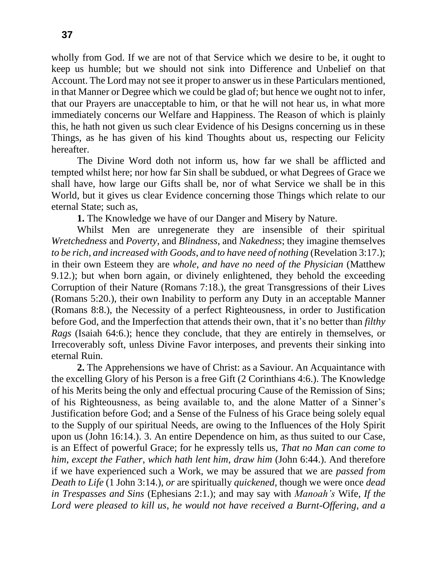wholly from God. If we are not of that Service which we desire to be, it ought to keep us humble; but we should not sink into Difference and Unbelief on that Account. The Lord may not see it proper to answer us in these Particulars mentioned, in that Manner or Degree which we could be glad of; but hence we ought not to infer, that our Prayers are unacceptable to him, or that he will not hear us, in what more immediately concerns our Welfare and Happiness. The Reason of which is plainly this, he hath not given us such clear Evidence of his Designs concerning us in these Things, as he has given of his kind Thoughts about us, respecting our Felicity hereafter.

The Divine Word doth not inform us, how far we shall be afflicted and tempted whilst here; nor how far Sin shall be subdued, or what Degrees of Grace we shall have, how large our Gifts shall be, nor of what Service we shall be in this World, but it gives us clear Evidence concerning those Things which relate to our eternal State; such as,

**1.** The Knowledge we have of our Danger and Misery by Nature.

Whilst Men are unregenerate they are insensible of their spiritual *Wretchedness* and *Poverty*, and *Blindness*, and *Nakedness*; they imagine themselves *to be rich*, *and increased with Goods*, *and to have need of nothing* (Revelation 3:17.); in their own Esteem they are *whole*, *and have no need of the Physician* (Matthew 9.12.); but when born again, or divinely enlightened, they behold the exceeding Corruption of their Nature (Romans 7:18.), the great Transgressions of their Lives (Romans 5:20.), their own Inability to perform any Duty in an acceptable Manner (Romans 8:8.), the Necessity of a perfect Righteousness, in order to Justification before God, and the Imperfection that attends their own, that it's no better than *filthy Rags* (Isaiah 64:6.); hence they conclude, that they are entirely in themselves, or Irrecoverably soft, unless Divine Favor interposes, and prevents their sinking into eternal Ruin.

**2.** The Apprehensions we have of Christ: as a Saviour. An Acquaintance with the excelling Glory of his Person is a free Gift (2 Corinthians 4:6.). The Knowledge of his Merits being the only and effectual procuring Cause of the Remission of Sins; of his Righteousness, as being available to, and the alone Matter of a Sinner's Justification before God; and a Sense of the Fulness of his Grace being solely equal to the Supply of our spiritual Needs, are owing to the Influences of the Holy Spirit upon us (John 16:14.). 3. An entire Dependence on him, as thus suited to our Case, is an Effect of powerful Grace; for he expressly tells us, *That no Man can come to him*, *except the Father*, *which hath lent him*, *draw him* (John 6:44.). And therefore if we have experienced such a Work, we may be assured that we are *passed from Death to Life* (1 John 3:14.), *or* are spiritually *quickened*, though we were once *dead in Trespasses and Sins* (Ephesians 2:1.); and may say with *Manoah's* Wife, *If the Lord were pleased to kill us*, *he would not have received a Burnt-Offering*, *and a*